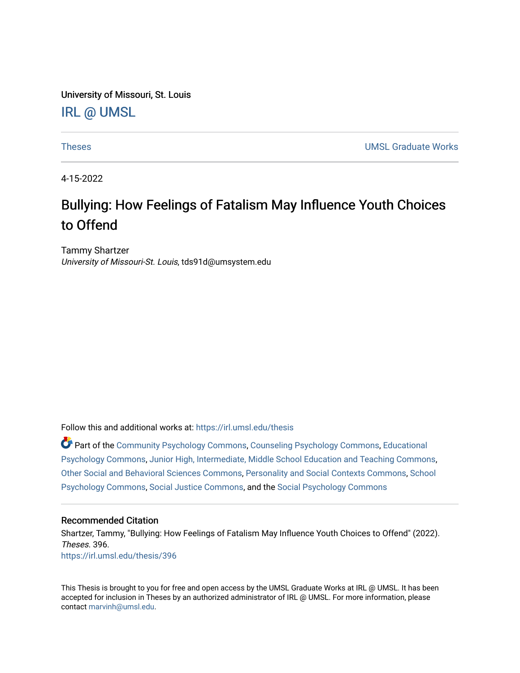University of Missouri, St. Louis [IRL @ UMSL](https://irl.umsl.edu/) 

[Theses](https://irl.umsl.edu/thesis) **UMSL Graduate Works** 

4-15-2022

# Bullying: How Feelings of Fatalism May Influence Youth Choices to Offend

Tammy Shartzer University of Missouri-St. Louis, tds91d@umsystem.edu

Follow this and additional works at: [https://irl.umsl.edu/thesis](https://irl.umsl.edu/thesis?utm_source=irl.umsl.edu%2Fthesis%2F396&utm_medium=PDF&utm_campaign=PDFCoverPages) 

Part of the [Community Psychology Commons,](https://network.bepress.com/hgg/discipline/409?utm_source=irl.umsl.edu%2Fthesis%2F396&utm_medium=PDF&utm_campaign=PDFCoverPages) [Counseling Psychology Commons,](https://network.bepress.com/hgg/discipline/1044?utm_source=irl.umsl.edu%2Fthesis%2F396&utm_medium=PDF&utm_campaign=PDFCoverPages) [Educational](https://network.bepress.com/hgg/discipline/798?utm_source=irl.umsl.edu%2Fthesis%2F396&utm_medium=PDF&utm_campaign=PDFCoverPages) [Psychology Commons,](https://network.bepress.com/hgg/discipline/798?utm_source=irl.umsl.edu%2Fthesis%2F396&utm_medium=PDF&utm_campaign=PDFCoverPages) [Junior High, Intermediate, Middle School Education and Teaching Commons](https://network.bepress.com/hgg/discipline/807?utm_source=irl.umsl.edu%2Fthesis%2F396&utm_medium=PDF&utm_campaign=PDFCoverPages), [Other Social and Behavioral Sciences Commons](https://network.bepress.com/hgg/discipline/437?utm_source=irl.umsl.edu%2Fthesis%2F396&utm_medium=PDF&utm_campaign=PDFCoverPages), [Personality and Social Contexts Commons,](https://network.bepress.com/hgg/discipline/413?utm_source=irl.umsl.edu%2Fthesis%2F396&utm_medium=PDF&utm_campaign=PDFCoverPages) [School](https://network.bepress.com/hgg/discipline/1072?utm_source=irl.umsl.edu%2Fthesis%2F396&utm_medium=PDF&utm_campaign=PDFCoverPages)  [Psychology Commons,](https://network.bepress.com/hgg/discipline/1072?utm_source=irl.umsl.edu%2Fthesis%2F396&utm_medium=PDF&utm_campaign=PDFCoverPages) [Social Justice Commons,](https://network.bepress.com/hgg/discipline/1432?utm_source=irl.umsl.edu%2Fthesis%2F396&utm_medium=PDF&utm_campaign=PDFCoverPages) and the [Social Psychology Commons](https://network.bepress.com/hgg/discipline/414?utm_source=irl.umsl.edu%2Fthesis%2F396&utm_medium=PDF&utm_campaign=PDFCoverPages) 

### Recommended Citation

Shartzer, Tammy, "Bullying: How Feelings of Fatalism May Influence Youth Choices to Offend" (2022). Theses. 396. [https://irl.umsl.edu/thesis/396](https://irl.umsl.edu/thesis/396?utm_source=irl.umsl.edu%2Fthesis%2F396&utm_medium=PDF&utm_campaign=PDFCoverPages) 

This Thesis is brought to you for free and open access by the UMSL Graduate Works at IRL @ UMSL. It has been accepted for inclusion in Theses by an authorized administrator of IRL @ UMSL. For more information, please contact [marvinh@umsl.edu.](mailto:marvinh@umsl.edu)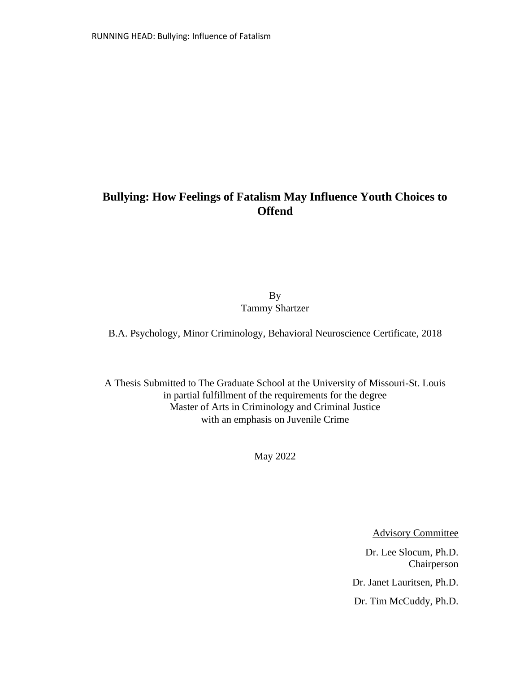# **Bullying: How Feelings of Fatalism May Influence Youth Choices to Offend**

By Tammy Shartzer

B.A. Psychology, Minor Criminology, Behavioral Neuroscience Certificate, 2018

A Thesis Submitted to The Graduate School at the University of Missouri-St. Louis in partial fulfillment of the requirements for the degree Master of Arts in Criminology and Criminal Justice with an emphasis on Juvenile Crime

May 2022

Advisory Committee

Dr. Lee Slocum, Ph.D. Chairperson Dr. Janet Lauritsen, Ph.D. Dr. Tim McCuddy, Ph.D.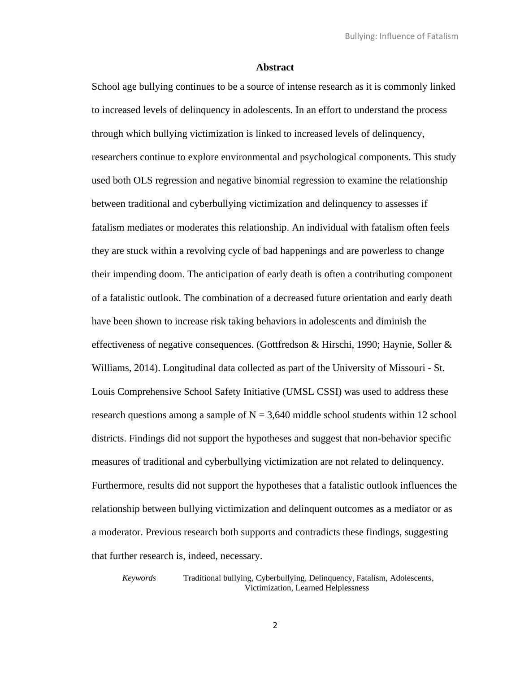#### **Abstract**

School age bullying continues to be a source of intense research as it is commonly linked to increased levels of delinquency in adolescents. In an effort to understand the process through which bullying victimization is linked to increased levels of delinquency, researchers continue to explore environmental and psychological components. This study used both OLS regression and negative binomial regression to examine the relationship between traditional and cyberbullying victimization and delinquency to assesses if fatalism mediates or moderates this relationship. An individual with fatalism often feels they are stuck within a revolving cycle of bad happenings and are powerless to change their impending doom. The anticipation of early death is often a contributing component of a fatalistic outlook. The combination of a decreased future orientation and early death have been shown to increase risk taking behaviors in adolescents and diminish the effectiveness of negative consequences. (Gottfredson & Hirschi, 1990; Haynie, Soller & Williams, 2014). Longitudinal data collected as part of the University of Missouri - St. Louis Comprehensive School Safety Initiative (UMSL CSSI) was used to address these research questions among a sample of  $N = 3,640$  middle school students within 12 school districts. Findings did not support the hypotheses and suggest that non-behavior specific measures of traditional and cyberbullying victimization are not related to delinquency. Furthermore, results did not support the hypotheses that a fatalistic outlook influences the relationship between bullying victimization and delinquent outcomes as a mediator or as a moderator. Previous research both supports and contradicts these findings, suggesting that further research is, indeed, necessary.

*Keywords* Traditional bullying, Cyberbullying, Delinquency, Fatalism, Adolescents, Victimization, Learned Helplessness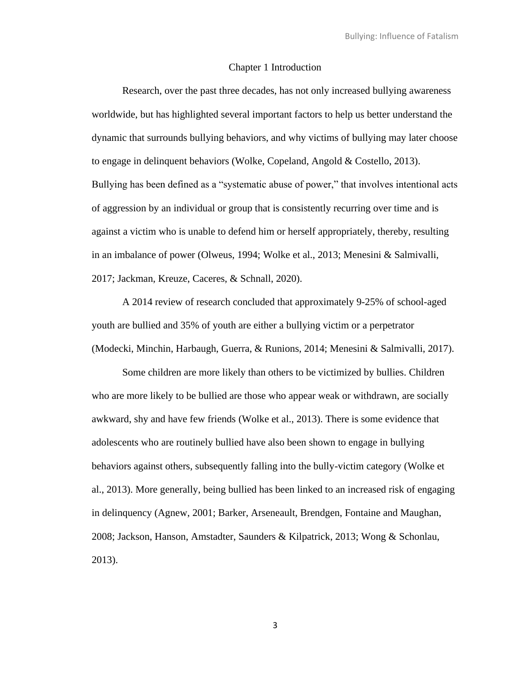#### Chapter 1 Introduction

Research, over the past three decades, has not only increased bullying awareness worldwide, but has highlighted several important factors to help us better understand the dynamic that surrounds bullying behaviors, and why victims of bullying may later choose to engage in delinquent behaviors (Wolke, Copeland, Angold & Costello, 2013). Bullying has been defined as a "systematic abuse of power," that involves intentional acts of aggression by an individual or group that is consistently recurring over time and is against a victim who is unable to defend him or herself appropriately, thereby, resulting in an imbalance of power (Olweus, 1994; Wolke et al., 2013; Menesini & Salmivalli, 2017; Jackman, Kreuze, Caceres, & Schnall, 2020).

A 2014 review of research concluded that approximately 9-25% of school-aged youth are bullied and 35% of youth are either a bullying victim or a perpetrator (Modecki, Minchin, Harbaugh, Guerra, & Runions, 2014; Menesini & Salmivalli, 2017).

Some children are more likely than others to be victimized by bullies. Children who are more likely to be bullied are those who appear weak or withdrawn, are socially awkward, shy and have few friends (Wolke et al., 2013). There is some evidence that adolescents who are routinely bullied have also been shown to engage in bullying behaviors against others, subsequently falling into the bully-victim category (Wolke et al., 2013). More generally, being bullied has been linked to an increased risk of engaging in delinquency (Agnew, 2001; Barker, Arseneault, Brendgen, Fontaine and Maughan, 2008; Jackson, Hanson, Amstadter, Saunders & Kilpatrick, 2013; Wong & Schonlau, 2013).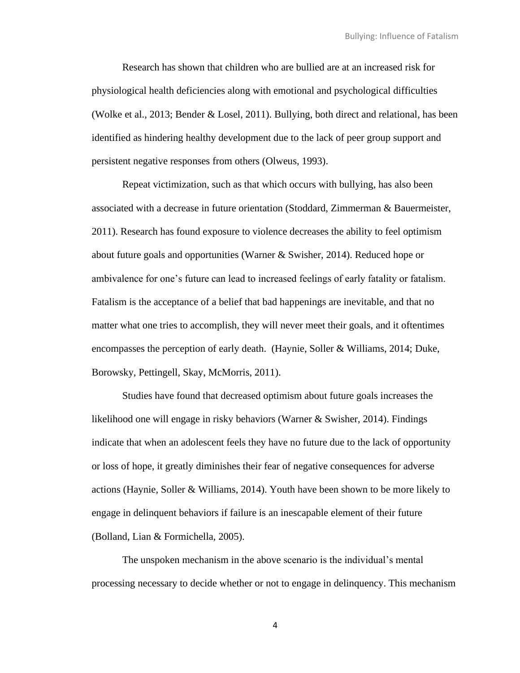Research has shown that children who are bullied are at an increased risk for physiological health deficiencies along with emotional and psychological difficulties (Wolke et al., 2013; Bender & Losel, 2011). Bullying, both direct and relational, has been identified as hindering healthy development due to the lack of peer group support and persistent negative responses from others (Olweus, 1993).

Repeat victimization, such as that which occurs with bullying, has also been associated with a decrease in future orientation (Stoddard, Zimmerman & Bauermeister, 2011). Research has found exposure to violence decreases the ability to feel optimism about future goals and opportunities (Warner & Swisher, 2014). Reduced hope or ambivalence for one's future can lead to increased feelings of early fatality or fatalism. Fatalism is the acceptance of a belief that bad happenings are inevitable, and that no matter what one tries to accomplish, they will never meet their goals, and it oftentimes encompasses the perception of early death. (Haynie, Soller & Williams, 2014; Duke, Borowsky, Pettingell, Skay, McMorris, 2011).

Studies have found that decreased optimism about future goals increases the likelihood one will engage in risky behaviors (Warner & Swisher, 2014). Findings indicate that when an adolescent feels they have no future due to the lack of opportunity or loss of hope, it greatly diminishes their fear of negative consequences for adverse actions (Haynie, Soller & Williams, 2014). Youth have been shown to be more likely to engage in delinquent behaviors if failure is an inescapable element of their future (Bolland, Lian & Formichella, 2005).

The unspoken mechanism in the above scenario is the individual's mental processing necessary to decide whether or not to engage in delinquency. This mechanism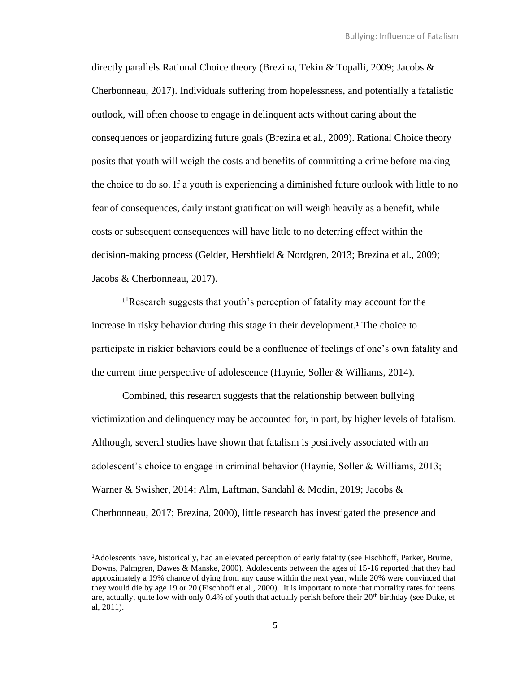directly parallels Rational Choice theory (Brezina, Tekin & Topalli, 2009; Jacobs & Cherbonneau, 2017). Individuals suffering from hopelessness, and potentially a fatalistic outlook, will often choose to engage in delinquent acts without caring about the consequences or jeopardizing future goals (Brezina et al., 2009). Rational Choice theory posits that youth will weigh the costs and benefits of committing a crime before making the choice to do so. If a youth is experiencing a diminished future outlook with little to no fear of consequences, daily instant gratification will weigh heavily as a benefit, while costs or subsequent consequences will have little to no deterring effect within the decision-making process (Gelder, Hershfield & Nordgren, 2013; Brezina et al., 2009; Jacobs & Cherbonneau, 2017).

<sup>1</sup>Research suggests that youth's perception of fatality may account for the increase in risky behavior during this stage in their development.<sup>1</sup> The choice to participate in riskier behaviors could be a confluence of feelings of one's own fatality and the current time perspective of adolescence (Haynie, Soller & Williams, 2014).

Combined, this research suggests that the relationship between bullying victimization and delinquency may be accounted for, in part, by higher levels of fatalism. Although, several studies have shown that fatalism is positively associated with an adolescent's choice to engage in criminal behavior (Haynie, Soller & Williams, 2013; Warner & Swisher, 2014; Alm, Laftman, Sandahl & Modin, 2019; Jacobs & Cherbonneau, 2017; Brezina, 2000), little research has investigated the presence and

<sup>1</sup>Adolescents have, historically, had an elevated perception of early fatality (see Fischhoff, Parker, Bruine, Downs, Palmgren, Dawes & Manske, 2000). Adolescents between the ages of 15-16 reported that they had approximately a 19% chance of dying from any cause within the next year, while 20% were convinced that they would die by age 19 or 20 (Fischhoff et al., 2000). It is important to note that mortality rates for teens are, actually, quite low with only  $0.4\%$  of youth that actually perish before their  $20<sup>th</sup>$  birthday (see Duke, et al, 2011).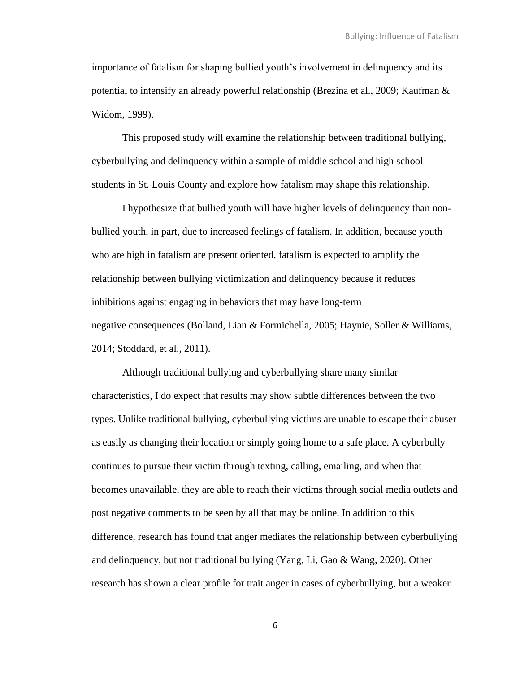importance of fatalism for shaping bullied youth's involvement in delinquency and its potential to intensify an already powerful relationship (Brezina et al., 2009; Kaufman & Widom, 1999).

This proposed study will examine the relationship between traditional bullying, cyberbullying and delinquency within a sample of middle school and high school students in St. Louis County and explore how fatalism may shape this relationship.

I hypothesize that bullied youth will have higher levels of delinquency than nonbullied youth, in part, due to increased feelings of fatalism. In addition, because youth who are high in fatalism are present oriented, fatalism is expected to amplify the relationship between bullying victimization and delinquency because it reduces inhibitions against engaging in behaviors that may have long-term negative consequences (Bolland, Lian & Formichella, 2005; Haynie, Soller & Williams, 2014; Stoddard, et al., 2011).

Although traditional bullying and cyberbullying share many similar characteristics, I do expect that results may show subtle differences between the two types. Unlike traditional bullying, cyberbullying victims are unable to escape their abuser as easily as changing their location or simply going home to a safe place. A cyberbully continues to pursue their victim through texting, calling, emailing, and when that becomes unavailable, they are able to reach their victims through social media outlets and post negative comments to be seen by all that may be online. In addition to this difference, research has found that anger mediates the relationship between cyberbullying and delinquency, but not traditional bullying (Yang, Li, Gao & Wang, 2020). Other research has shown a clear profile for trait anger in cases of cyberbullying, but a weaker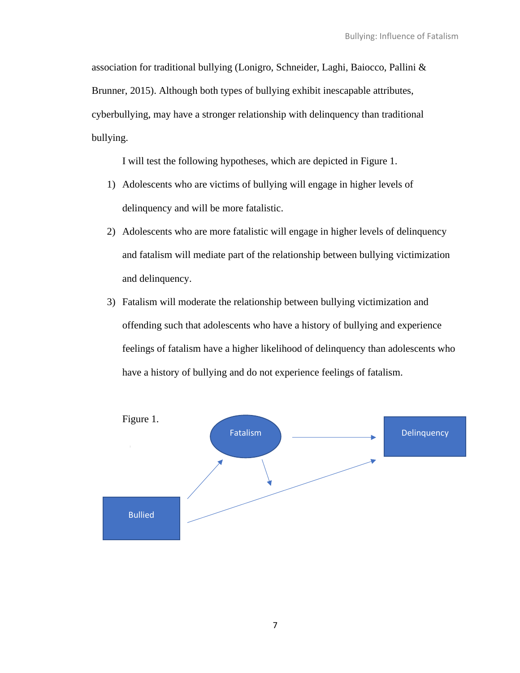association for traditional bullying (Lonigro, Schneider, Laghi, Baiocco, Pallini & Brunner, 2015). Although both types of bullying exhibit inescapable attributes, cyberbullying, may have a stronger relationship with delinquency than traditional bullying.

I will test the following hypotheses, which are depicted in Figure 1.

- 1) Adolescents who are victims of bullying will engage in higher levels of delinquency and will be more fatalistic.
- 2) Adolescents who are more fatalistic will engage in higher levels of delinquency and fatalism will mediate part of the relationship between bullying victimization and delinquency.
- 3) Fatalism will moderate the relationship between bullying victimization and offending such that adolescents who have a history of bullying and experience feelings of fatalism have a higher likelihood of delinquency than adolescents who have a history of bullying and do not experience feelings of fatalism.

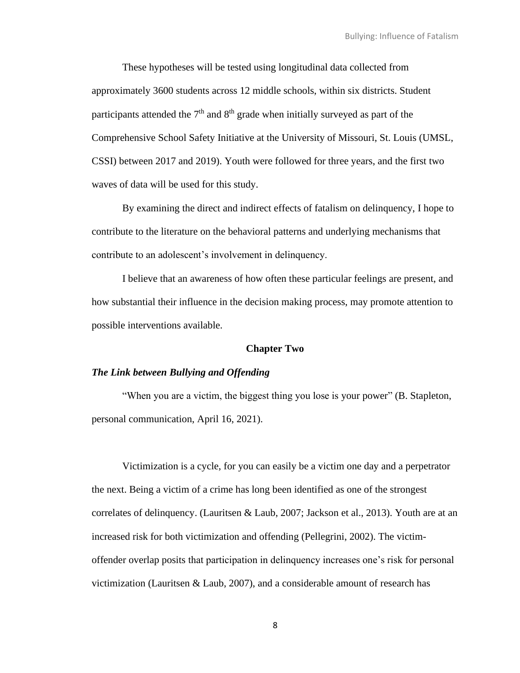These hypotheses will be tested using longitudinal data collected from approximately 3600 students across 12 middle schools, within six districts. Student participants attended the  $7<sup>th</sup>$  and  $8<sup>th</sup>$  grade when initially surveyed as part of the Comprehensive School Safety Initiative at the University of Missouri, St. Louis (UMSL, CSSI) between 2017 and 2019). Youth were followed for three years, and the first two waves of data will be used for this study.

By examining the direct and indirect effects of fatalism on delinquency, I hope to contribute to the literature on the behavioral patterns and underlying mechanisms that contribute to an adolescent's involvement in delinquency.

I believe that an awareness of how often these particular feelings are present, and how substantial their influence in the decision making process, may promote attention to possible interventions available.

#### **Chapter Two**

#### *The Link between Bullying and Offending*

"When you are a victim, the biggest thing you lose is your power" (B. Stapleton, personal communication, April 16, 2021).

Victimization is a cycle, for you can easily be a victim one day and a perpetrator the next. Being a victim of a crime has long been identified as one of the strongest correlates of delinquency. (Lauritsen & Laub, 2007; Jackson et al., 2013). Youth are at an increased risk for both victimization and offending (Pellegrini, 2002). The victimoffender overlap posits that participation in delinquency increases one's risk for personal victimization (Lauritsen & Laub, 2007), and a considerable amount of research has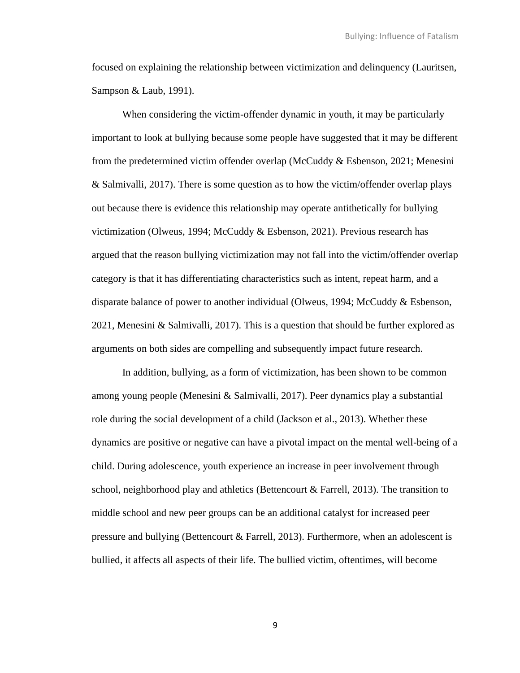focused on explaining the relationship between victimization and delinquency (Lauritsen, Sampson & Laub, 1991).

When considering the victim-offender dynamic in youth, it may be particularly important to look at bullying because some people have suggested that it may be different from the predetermined victim offender overlap (McCuddy & Esbenson, 2021; Menesini & Salmivalli, 2017). There is some question as to how the victim/offender overlap plays out because there is evidence this relationship may operate antithetically for bullying victimization (Olweus, 1994; McCuddy & Esbenson, 2021). Previous research has argued that the reason bullying victimization may not fall into the victim/offender overlap category is that it has differentiating characteristics such as intent, repeat harm, and a disparate balance of power to another individual (Olweus, 1994; McCuddy & Esbenson, 2021, Menesini & Salmivalli, 2017). This is a question that should be further explored as arguments on both sides are compelling and subsequently impact future research.

In addition, bullying, as a form of victimization, has been shown to be common among young people (Menesini & Salmivalli, 2017). Peer dynamics play a substantial role during the social development of a child (Jackson et al., 2013). Whether these dynamics are positive or negative can have a pivotal impact on the mental well-being of a child. During adolescence, youth experience an increase in peer involvement through school, neighborhood play and athletics (Bettencourt & Farrell, 2013). The transition to middle school and new peer groups can be an additional catalyst for increased peer pressure and bullying (Bettencourt  $& Farrell, 2013$ ). Furthermore, when an adolescent is bullied, it affects all aspects of their life. The bullied victim, oftentimes, will become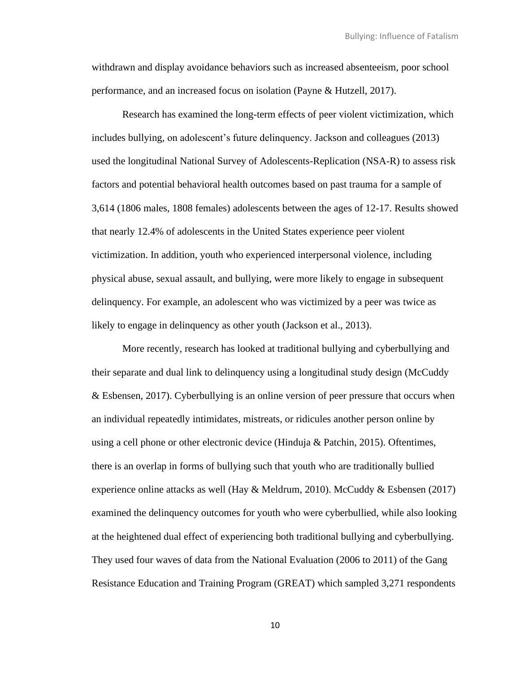withdrawn and display avoidance behaviors such as increased absenteeism, poor school performance, and an increased focus on isolation (Payne & Hutzell, 2017).

Research has examined the long-term effects of peer violent victimization, which includes bullying, on adolescent's future delinquency. Jackson and colleagues (2013) used the longitudinal National Survey of Adolescents-Replication (NSA-R) to assess risk factors and potential behavioral health outcomes based on past trauma for a sample of 3,614 (1806 males, 1808 females) adolescents between the ages of 12-17. Results showed that nearly 12.4% of adolescents in the United States experience peer violent victimization. In addition, youth who experienced interpersonal violence, including physical abuse, sexual assault, and bullying, were more likely to engage in subsequent delinquency. For example, an adolescent who was victimized by a peer was twice as likely to engage in delinquency as other youth (Jackson et al., 2013).

More recently, research has looked at traditional bullying and cyberbullying and their separate and dual link to delinquency using a longitudinal study design (McCuddy & Esbensen, 2017). Cyberbullying is an online version of peer pressure that occurs when an individual repeatedly intimidates, mistreats, or ridicules another person online by using a cell phone or other electronic device (Hinduja & Patchin, 2015). Oftentimes, there is an overlap in forms of bullying such that youth who are traditionally bullied experience online attacks as well (Hay & Meldrum, 2010). McCuddy & Esbensen (2017) examined the delinquency outcomes for youth who were cyberbullied, while also looking at the heightened dual effect of experiencing both traditional bullying and cyberbullying. They used four waves of data from the National Evaluation (2006 to 2011) of the Gang Resistance Education and Training Program (GREAT) which sampled 3,271 respondents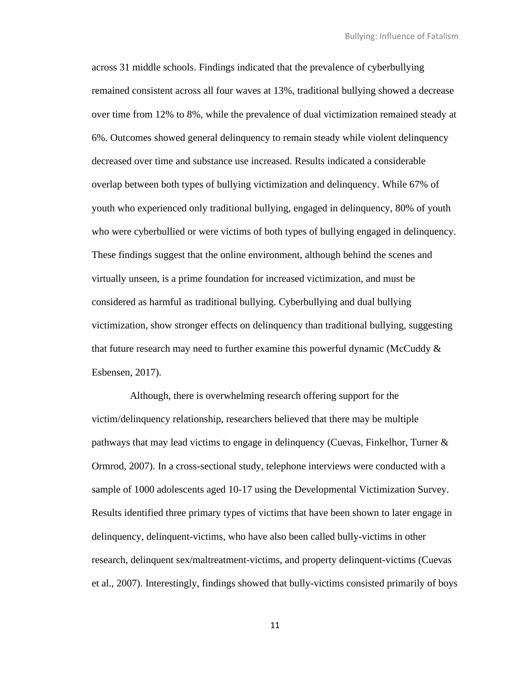across 31 middle schools. Findings indicated that the prevalence of cyberbullying remained consistent across all four waves at 13%, traditional bullying showed a decrease over time from 12% to 8%, while the prevalence of dual victimization remained steady at 6%. Outcomes showed general delinquency to remain steady while violent delinquency decreased over time and substance use increased. Results indicated a considerable overlap between both types of bullying victimization and delinquency. While 67% of youth who experienced only traditional bullying, engaged in delinquency, 80% of youth who were cyberbullied or were victims of both types of bullying engaged in delinquency. These findings suggest that the online environment, although behind the scenes and virtually unseen, is a prime foundation for increased victimization, and must be considered as harmful as traditional bullying. Cyberbullying and dual bullying victimization, show stronger effects on delinquency than traditional bullying, suggesting that future research may need to further examine this powerful dynamic (McCuddy  $\&$ Esbensen, 2017).

 Although, there is overwhelming research offering support for the victim/delinquency relationship, researchers believed that there may be multiple pathways that may lead victims to engage in delinquency (Cuevas, Finkelhor, Turner & Ormrod, 2007). In a cross-sectional study, telephone interviews were conducted with a sample of 1000 adolescents aged 10-17 using the Developmental Victimization Survey. Results identified three primary types of victims that have been shown to later engage in delinquency, delinquent-victims, who have also been called bully-victims in other research, delinquent sex/maltreatment-victims, and property delinquent-victims (Cuevas et al., 2007). Interestingly, findings showed that bully-victims consisted primarily of boys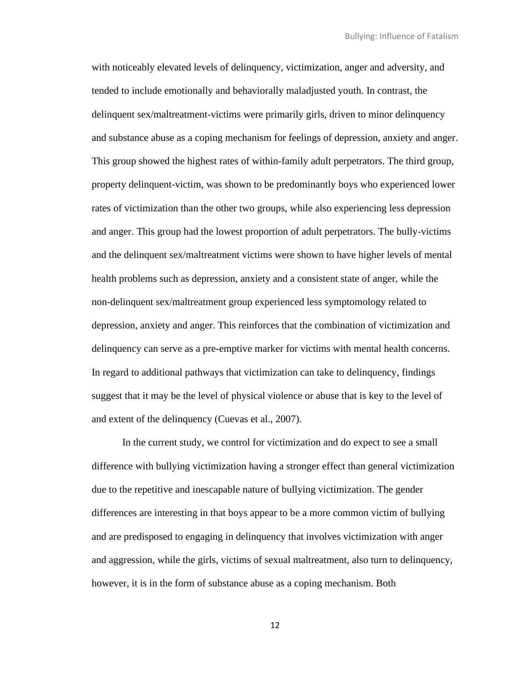with noticeably elevated levels of delinquency, victimization, anger and adversity, and tended to include emotionally and behaviorally maladjusted youth. In contrast, the delinquent sex/maltreatment-victims were primarily girls, driven to minor delinquency and substance abuse as a coping mechanism for feelings of depression, anxiety and anger. This group showed the highest rates of within-family adult perpetrators. The third group, property delinquent-victim, was shown to be predominantly boys who experienced lower rates of victimization than the other two groups, while also experiencing less depression and anger. This group had the lowest proportion of adult perpetrators. The bully-victims and the delinquent sex/maltreatment victims were shown to have higher levels of mental health problems such as depression, anxiety and a consistent state of anger, while the non-delinquent sex/maltreatment group experienced less symptomology related to depression, anxiety and anger. This reinforces that the combination of victimization and delinquency can serve as a pre-emptive marker for victims with mental health concerns. In regard to additional pathways that victimization can take to delinquency, findings suggest that it may be the level of physical violence or abuse that is key to the level of and extent of the delinquency (Cuevas et al., 2007).

In the current study, we control for victimization and do expect to see a small difference with bullying victimization having a stronger effect than general victimization due to the repetitive and inescapable nature of bullying victimization. The gender differences are interesting in that boys appear to be a more common victim of bullying and are predisposed to engaging in delinquency that involves victimization with anger and aggression, while the girls, victims of sexual maltreatment, also turn to delinquency, however, it is in the form of substance abuse as a coping mechanism. Both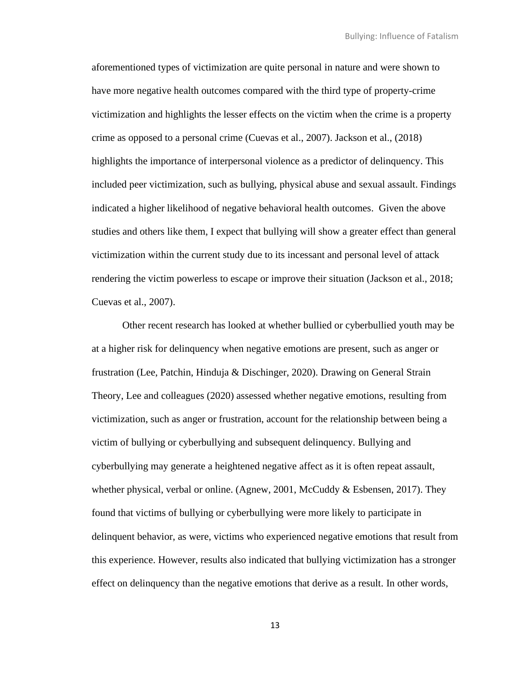aforementioned types of victimization are quite personal in nature and were shown to have more negative health outcomes compared with the third type of property-crime victimization and highlights the lesser effects on the victim when the crime is a property crime as opposed to a personal crime (Cuevas et al., 2007). Jackson et al., (2018) highlights the importance of interpersonal violence as a predictor of delinquency. This included peer victimization, such as bullying, physical abuse and sexual assault. Findings indicated a higher likelihood of negative behavioral health outcomes. Given the above studies and others like them, I expect that bullying will show a greater effect than general victimization within the current study due to its incessant and personal level of attack rendering the victim powerless to escape or improve their situation (Jackson et al., 2018; Cuevas et al., 2007).

Other recent research has looked at whether bullied or cyberbullied youth may be at a higher risk for delinquency when negative emotions are present, such as anger or frustration (Lee, Patchin, Hinduja & Dischinger, 2020). Drawing on General Strain Theory, Lee and colleagues (2020) assessed whether negative emotions, resulting from victimization, such as anger or frustration, account for the relationship between being a victim of bullying or cyberbullying and subsequent delinquency. Bullying and cyberbullying may generate a heightened negative affect as it is often repeat assault, whether physical, verbal or online. (Agnew, 2001, McCuddy & Esbensen, 2017). They found that victims of bullying or cyberbullying were more likely to participate in delinquent behavior, as were, victims who experienced negative emotions that result from this experience. However, results also indicated that bullying victimization has a stronger effect on delinquency than the negative emotions that derive as a result. In other words,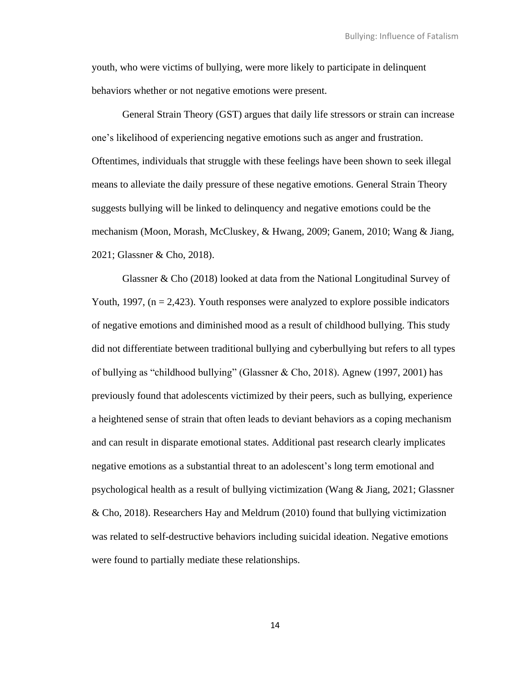youth, who were victims of bullying, were more likely to participate in delinquent behaviors whether or not negative emotions were present.

General Strain Theory (GST) argues that daily life stressors or strain can increase one's likelihood of experiencing negative emotions such as anger and frustration. Oftentimes, individuals that struggle with these feelings have been shown to seek illegal means to alleviate the daily pressure of these negative emotions. General Strain Theory suggests bullying will be linked to delinquency and negative emotions could be the mechanism (Moon, Morash, McCluskey, & Hwang, 2009; Ganem, 2010; Wang & Jiang, 2021; Glassner & Cho, 2018).

Glassner & Cho (2018) looked at data from the National Longitudinal Survey of Youth, 1997,  $(n = 2,423)$ . Youth responses were analyzed to explore possible indicators of negative emotions and diminished mood as a result of childhood bullying. This study did not differentiate between traditional bullying and cyberbullying but refers to all types of bullying as "childhood bullying" (Glassner & Cho, 2018). Agnew (1997, 2001) has previously found that adolescents victimized by their peers, such as bullying, experience a heightened sense of strain that often leads to deviant behaviors as a coping mechanism and can result in disparate emotional states. Additional past research clearly implicates negative emotions as a substantial threat to an adolescent's long term emotional and psychological health as a result of bullying victimization (Wang & Jiang, 2021; Glassner & Cho, 2018). Researchers Hay and Meldrum (2010) found that bullying victimization was related to self-destructive behaviors including suicidal ideation. Negative emotions were found to partially mediate these relationships.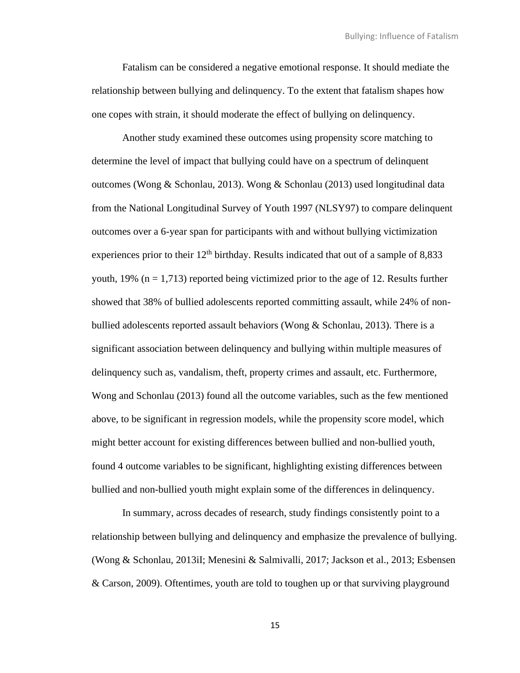Fatalism can be considered a negative emotional response. It should mediate the relationship between bullying and delinquency. To the extent that fatalism shapes how one copes with strain, it should moderate the effect of bullying on delinquency.

Another study examined these outcomes using propensity score matching to determine the level of impact that bullying could have on a spectrum of delinquent outcomes (Wong & Schonlau, 2013). Wong & Schonlau (2013) used longitudinal data from the National Longitudinal Survey of Youth 1997 (NLSY97) to compare delinquent outcomes over a 6-year span for participants with and without bullying victimization experiences prior to their  $12<sup>th</sup>$  birthday. Results indicated that out of a sample of 8,833 youth, 19% ( $n = 1,713$ ) reported being victimized prior to the age of 12. Results further showed that 38% of bullied adolescents reported committing assault, while 24% of nonbullied adolescents reported assault behaviors (Wong & Schonlau, 2013). There is a significant association between delinquency and bullying within multiple measures of delinquency such as, vandalism, theft, property crimes and assault, etc. Furthermore, Wong and Schonlau (2013) found all the outcome variables, such as the few mentioned above, to be significant in regression models, while the propensity score model, which might better account for existing differences between bullied and non-bullied youth, found 4 outcome variables to be significant, highlighting existing differences between bullied and non-bullied youth might explain some of the differences in delinquency.

In summary, across decades of research, study findings consistently point to a relationship between bullying and delinquency and emphasize the prevalence of bullying. (Wong & Schonlau, 2013iI; Menesini & Salmivalli, 2017; Jackson et al., 2013; Esbensen & Carson, 2009). Oftentimes, youth are told to toughen up or that surviving playground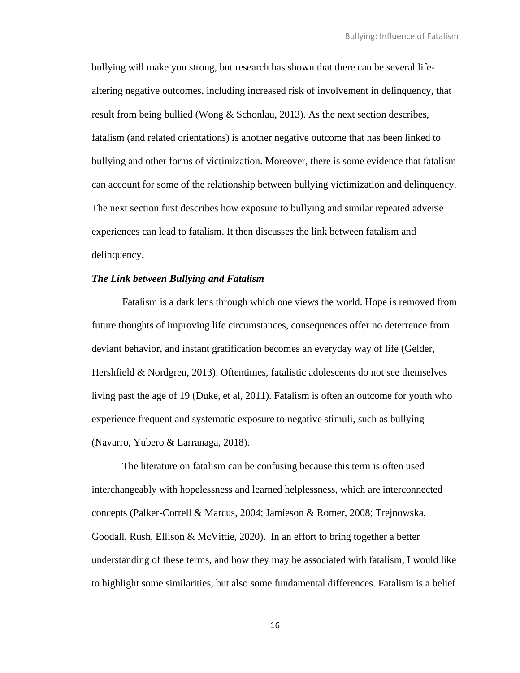bullying will make you strong, but research has shown that there can be several lifealtering negative outcomes, including increased risk of involvement in delinquency, that result from being bullied (Wong & Schonlau, 2013). As the next section describes, fatalism (and related orientations) is another negative outcome that has been linked to bullying and other forms of victimization. Moreover, there is some evidence that fatalism can account for some of the relationship between bullying victimization and delinquency. The next section first describes how exposure to bullying and similar repeated adverse experiences can lead to fatalism. It then discusses the link between fatalism and delinquency.

#### *The Link between Bullying and Fatalism*

Fatalism is a dark lens through which one views the world. Hope is removed from future thoughts of improving life circumstances, consequences offer no deterrence from deviant behavior, and instant gratification becomes an everyday way of life (Gelder, Hershfield & Nordgren, 2013). Oftentimes, fatalistic adolescents do not see themselves living past the age of 19 (Duke, et al, 2011). Fatalism is often an outcome for youth who experience frequent and systematic exposure to negative stimuli, such as bullying (Navarro, Yubero & Larranaga, 2018).

The literature on fatalism can be confusing because this term is often used interchangeably with hopelessness and learned helplessness, which are interconnected concepts (Palker-Correll & Marcus, 2004; Jamieson & Romer, 2008; Trejnowska, Goodall, Rush, Ellison & McVittie, 2020). In an effort to bring together a better understanding of these terms, and how they may be associated with fatalism, I would like to highlight some similarities, but also some fundamental differences. Fatalism is a belief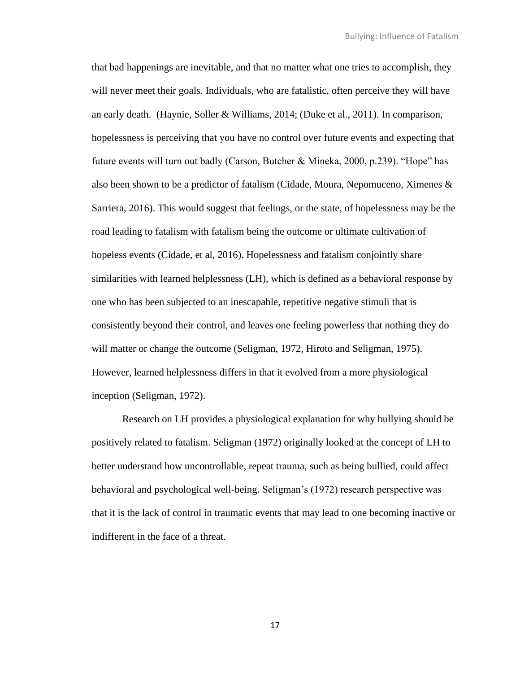that bad happenings are inevitable, and that no matter what one tries to accomplish, they will never meet their goals. Individuals, who are fatalistic, often perceive they will have an early death. (Haynie, Soller & Williams, 2014; (Duke et al., 2011). In comparison, hopelessness is perceiving that you have no control over future events and expecting that future events will turn out badly (Carson, Butcher & Mineka, 2000, p.239). "Hope" has also been shown to be a predictor of fatalism (Cidade, Moura, Nepomuceno, Ximenes & Sarriera, 2016). This would suggest that feelings, or the state, of hopelessness may be the road leading to fatalism with fatalism being the outcome or ultimate cultivation of hopeless events (Cidade, et al, 2016). Hopelessness and fatalism conjointly share similarities with learned helplessness (LH), which is defined as a behavioral response by one who has been subjected to an inescapable, repetitive negative stimuli that is consistently beyond their control, and leaves one feeling powerless that nothing they do will matter or change the outcome (Seligman, 1972, Hiroto and Seligman, 1975). However, learned helplessness differs in that it evolved from a more physiological inception (Seligman, 1972).

Research on LH provides a physiological explanation for why bullying should be positively related to fatalism. Seligman (1972) originally looked at the concept of LH to better understand how uncontrollable, repeat trauma, such as being bullied, could affect behavioral and psychological well-being. Seligman's (1972) research perspective was that it is the lack of control in traumatic events that may lead to one becoming inactive or indifferent in the face of a threat.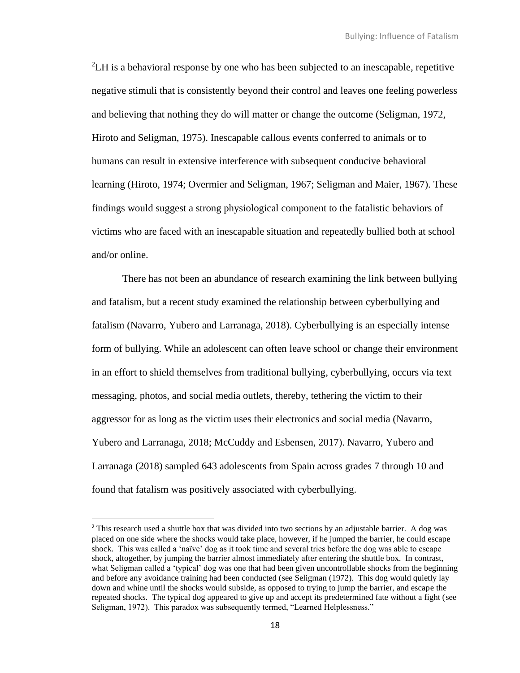<sup>2</sup>LH is a behavioral response by one who has been subjected to an inescapable, repetitive negative stimuli that is consistently beyond their control and leaves one feeling powerless and believing that nothing they do will matter or change the outcome (Seligman, 1972, Hiroto and Seligman, 1975). Inescapable callous events conferred to animals or to humans can result in extensive interference with subsequent conducive behavioral learning (Hiroto, 1974; Overmier and Seligman, 1967; Seligman and Maier, 1967). These findings would suggest a strong physiological component to the fatalistic behaviors of victims who are faced with an inescapable situation and repeatedly bullied both at school and/or online.

There has not been an abundance of research examining the link between bullying and fatalism, but a recent study examined the relationship between cyberbullying and fatalism (Navarro, Yubero and Larranaga, 2018). Cyberbullying is an especially intense form of bullying. While an adolescent can often leave school or change their environment in an effort to shield themselves from traditional bullying, cyberbullying, occurs via text messaging, photos, and social media outlets, thereby, tethering the victim to their aggressor for as long as the victim uses their electronics and social media (Navarro, Yubero and Larranaga, 2018; McCuddy and Esbensen, 2017). Navarro, Yubero and Larranaga (2018) sampled 643 adolescents from Spain across grades 7 through 10 and found that fatalism was positively associated with cyberbullying.

<sup>&</sup>lt;sup>2</sup> This research used a shuttle box that was divided into two sections by an adjustable barrier. A dog was placed on one side where the shocks would take place, however, if he jumped the barrier, he could escape shock. This was called a 'naïve' dog as it took time and several tries before the dog was able to escape shock, altogether, by jumping the barrier almost immediately after entering the shuttle box. In contrast, what Seligman called a 'typical' dog was one that had been given uncontrollable shocks from the beginning and before any avoidance training had been conducted (see Seligman (1972). This dog would quietly lay down and whine until the shocks would subside, as opposed to trying to jump the barrier, and escape the repeated shocks. The typical dog appeared to give up and accept its predetermined fate without a fight (see Seligman, 1972). This paradox was subsequently termed, "Learned Helplessness."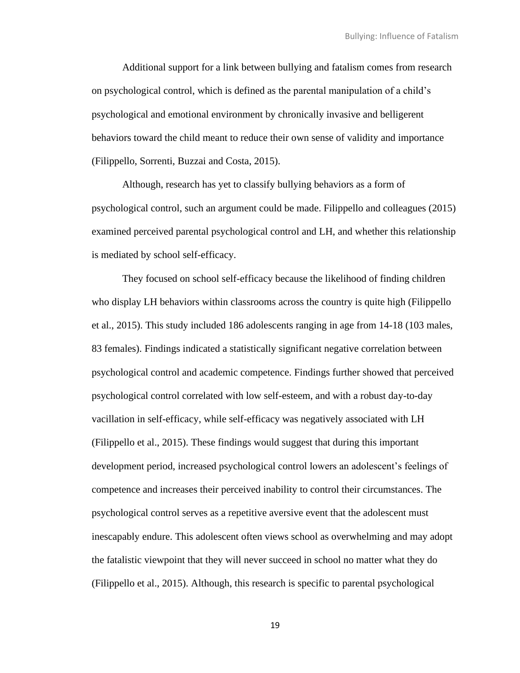Additional support for a link between bullying and fatalism comes from research on psychological control, which is defined as the parental manipulation of a child's psychological and emotional environment by chronically invasive and belligerent behaviors toward the child meant to reduce their own sense of validity and importance (Filippello, Sorrenti, Buzzai and Costa, 2015).

Although, research has yet to classify bullying behaviors as a form of psychological control, such an argument could be made. Filippello and colleagues (2015) examined perceived parental psychological control and LH, and whether this relationship is mediated by school self-efficacy.

They focused on school self-efficacy because the likelihood of finding children who display LH behaviors within classrooms across the country is quite high (Filippello et al., 2015). This study included 186 adolescents ranging in age from 14-18 (103 males, 83 females). Findings indicated a statistically significant negative correlation between psychological control and academic competence. Findings further showed that perceived psychological control correlated with low self-esteem, and with a robust day-to-day vacillation in self-efficacy, while self-efficacy was negatively associated with LH (Filippello et al., 2015). These findings would suggest that during this important development period, increased psychological control lowers an adolescent's feelings of competence and increases their perceived inability to control their circumstances. The psychological control serves as a repetitive aversive event that the adolescent must inescapably endure. This adolescent often views school as overwhelming and may adopt the fatalistic viewpoint that they will never succeed in school no matter what they do (Filippello et al., 2015). Although, this research is specific to parental psychological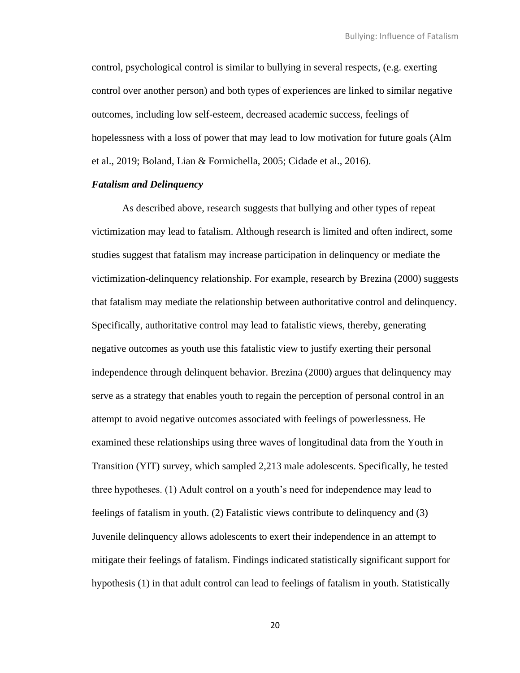control, psychological control is similar to bullying in several respects, (e.g. exerting control over another person) and both types of experiences are linked to similar negative outcomes, including low self-esteem, decreased academic success, feelings of hopelessness with a loss of power that may lead to low motivation for future goals (Alm et al., 2019; Boland, Lian & Formichella, 2005; Cidade et al., 2016).

# *Fatalism and Delinquency*

As described above, research suggests that bullying and other types of repeat victimization may lead to fatalism. Although research is limited and often indirect, some studies suggest that fatalism may increase participation in delinquency or mediate the victimization-delinquency relationship. For example, research by Brezina (2000) suggests that fatalism may mediate the relationship between authoritative control and delinquency. Specifically, authoritative control may lead to fatalistic views, thereby, generating negative outcomes as youth use this fatalistic view to justify exerting their personal independence through delinquent behavior. Brezina (2000) argues that delinquency may serve as a strategy that enables youth to regain the perception of personal control in an attempt to avoid negative outcomes associated with feelings of powerlessness. He examined these relationships using three waves of longitudinal data from the Youth in Transition (YIT) survey, which sampled 2,213 male adolescents. Specifically, he tested three hypotheses. (1) Adult control on a youth's need for independence may lead to feelings of fatalism in youth. (2) Fatalistic views contribute to delinquency and (3) Juvenile delinquency allows adolescents to exert their independence in an attempt to mitigate their feelings of fatalism. Findings indicated statistically significant support for hypothesis (1) in that adult control can lead to feelings of fatalism in youth. Statistically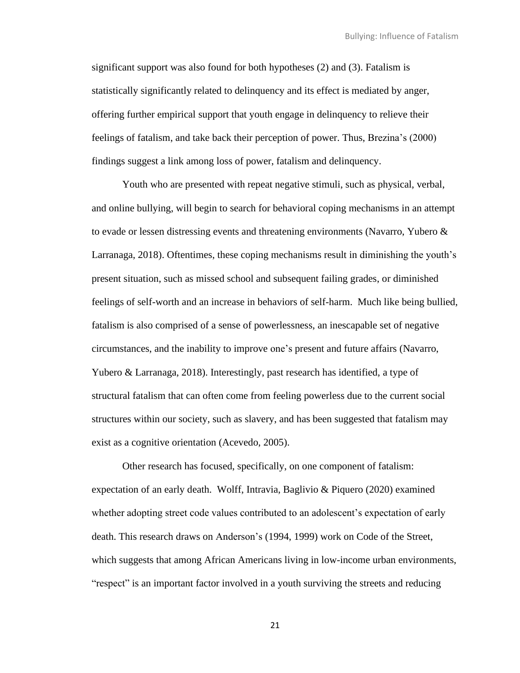significant support was also found for both hypotheses (2) and (3). Fatalism is statistically significantly related to delinquency and its effect is mediated by anger, offering further empirical support that youth engage in delinquency to relieve their feelings of fatalism, and take back their perception of power. Thus, Brezina's (2000) findings suggest a link among loss of power, fatalism and delinquency.

Youth who are presented with repeat negative stimuli, such as physical, verbal, and online bullying, will begin to search for behavioral coping mechanisms in an attempt to evade or lessen distressing events and threatening environments (Navarro, Yubero & Larranaga, 2018). Oftentimes, these coping mechanisms result in diminishing the youth's present situation, such as missed school and subsequent failing grades, or diminished feelings of self-worth and an increase in behaviors of self-harm. Much like being bullied, fatalism is also comprised of a sense of powerlessness, an inescapable set of negative circumstances, and the inability to improve one's present and future affairs (Navarro, Yubero & Larranaga, 2018). Interestingly, past research has identified, a type of structural fatalism that can often come from feeling powerless due to the current social structures within our society, such as slavery, and has been suggested that fatalism may exist as a cognitive orientation (Acevedo, 2005).

Other research has focused, specifically, on one component of fatalism: expectation of an early death. Wolff, Intravia, Baglivio & Piquero (2020) examined whether adopting street code values contributed to an adolescent's expectation of early death. This research draws on Anderson's (1994, 1999) work on Code of the Street, which suggests that among African Americans living in low-income urban environments, "respect" is an important factor involved in a youth surviving the streets and reducing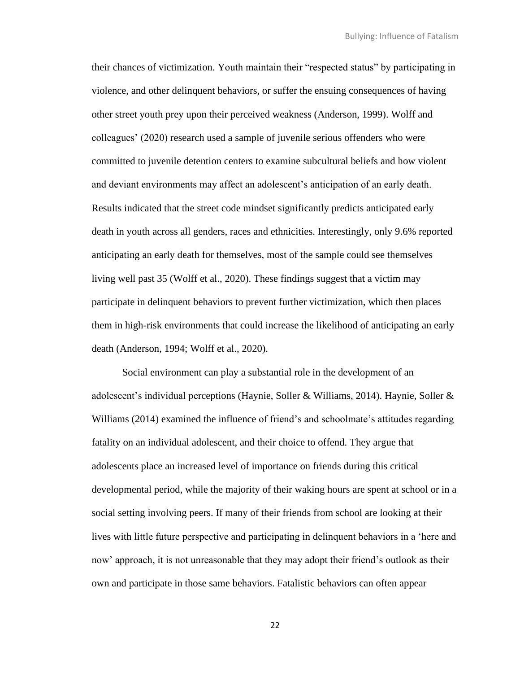their chances of victimization. Youth maintain their "respected status" by participating in violence, and other delinquent behaviors, or suffer the ensuing consequences of having other street youth prey upon their perceived weakness (Anderson, 1999). Wolff and colleagues' (2020) research used a sample of juvenile serious offenders who were committed to juvenile detention centers to examine subcultural beliefs and how violent and deviant environments may affect an adolescent's anticipation of an early death. Results indicated that the street code mindset significantly predicts anticipated early death in youth across all genders, races and ethnicities. Interestingly, only 9.6% reported anticipating an early death for themselves, most of the sample could see themselves living well past 35 (Wolff et al., 2020). These findings suggest that a victim may participate in delinquent behaviors to prevent further victimization, which then places them in high-risk environments that could increase the likelihood of anticipating an early death (Anderson, 1994; Wolff et al., 2020).

Social environment can play a substantial role in the development of an adolescent's individual perceptions (Haynie, Soller & Williams, 2014). Haynie, Soller & Williams (2014) examined the influence of friend's and schoolmate's attitudes regarding fatality on an individual adolescent, and their choice to offend. They argue that adolescents place an increased level of importance on friends during this critical developmental period, while the majority of their waking hours are spent at school or in a social setting involving peers. If many of their friends from school are looking at their lives with little future perspective and participating in delinquent behaviors in a 'here and now' approach, it is not unreasonable that they may adopt their friend's outlook as their own and participate in those same behaviors. Fatalistic behaviors can often appear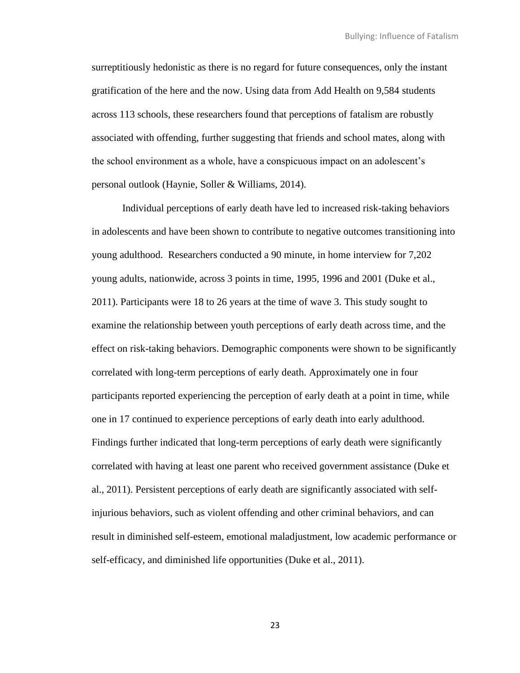surreptitiously hedonistic as there is no regard for future consequences, only the instant gratification of the here and the now. Using data from Add Health on 9,584 students across 113 schools, these researchers found that perceptions of fatalism are robustly associated with offending, further suggesting that friends and school mates, along with the school environment as a whole, have a conspicuous impact on an adolescent's personal outlook (Haynie, Soller & Williams, 2014).

Individual perceptions of early death have led to increased risk-taking behaviors in adolescents and have been shown to contribute to negative outcomes transitioning into young adulthood. Researchers conducted a 90 minute, in home interview for 7,202 young adults, nationwide, across 3 points in time, 1995, 1996 and 2001 (Duke et al., 2011). Participants were 18 to 26 years at the time of wave 3. This study sought to examine the relationship between youth perceptions of early death across time, and the effect on risk-taking behaviors. Demographic components were shown to be significantly correlated with long-term perceptions of early death. Approximately one in four participants reported experiencing the perception of early death at a point in time, while one in 17 continued to experience perceptions of early death into early adulthood. Findings further indicated that long-term perceptions of early death were significantly correlated with having at least one parent who received government assistance (Duke et al., 2011). Persistent perceptions of early death are significantly associated with selfinjurious behaviors, such as violent offending and other criminal behaviors, and can result in diminished self-esteem, emotional maladjustment, low academic performance or self-efficacy, and diminished life opportunities (Duke et al., 2011).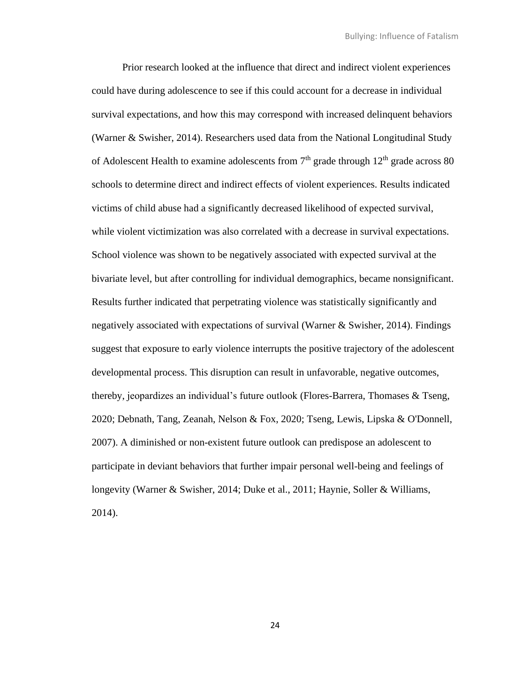Prior research looked at the influence that direct and indirect violent experiences could have during adolescence to see if this could account for a decrease in individual survival expectations, and how this may correspond with increased delinquent behaviors (Warner & Swisher, 2014). Researchers used data from the National Longitudinal Study of Adolescent Health to examine adolescents from  $7<sup>th</sup>$  grade through  $12<sup>th</sup>$  grade across 80 schools to determine direct and indirect effects of violent experiences. Results indicated victims of child abuse had a significantly decreased likelihood of expected survival, while violent victimization was also correlated with a decrease in survival expectations. School violence was shown to be negatively associated with expected survival at the bivariate level, but after controlling for individual demographics, became nonsignificant. Results further indicated that perpetrating violence was statistically significantly and negatively associated with expectations of survival (Warner & Swisher, 2014). Findings suggest that exposure to early violence interrupts the positive trajectory of the adolescent developmental process. This disruption can result in unfavorable, negative outcomes, thereby, jeopardizes an individual's future outlook (Flores-Barrera, Thomases & Tseng, 2020; Debnath, Tang, Zeanah, Nelson & Fox, 2020; Tseng, Lewis, Lipska & O'Donnell, 2007). A diminished or non-existent future outlook can predispose an adolescent to participate in deviant behaviors that further impair personal well-being and feelings of longevity (Warner & Swisher, 2014; Duke et al., 2011; Haynie, Soller & Williams, 2014).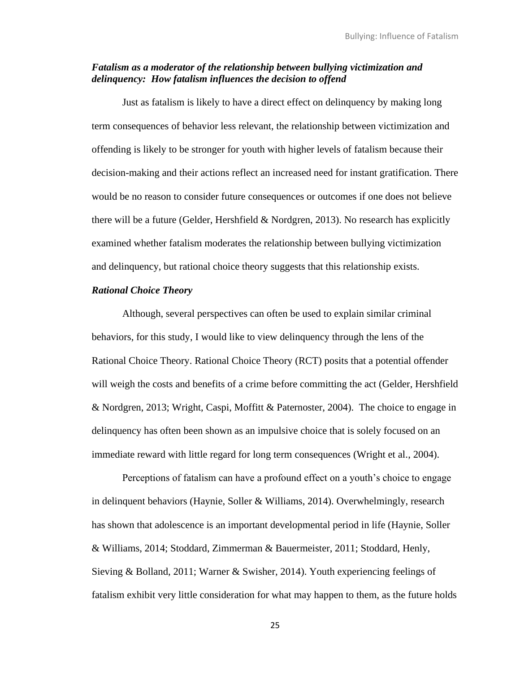# *Fatalism as a moderator of the relationship between bullying victimization and delinquency: How fatalism influences the decision to offend*

Just as fatalism is likely to have a direct effect on delinquency by making long term consequences of behavior less relevant, the relationship between victimization and offending is likely to be stronger for youth with higher levels of fatalism because their decision-making and their actions reflect an increased need for instant gratification. There would be no reason to consider future consequences or outcomes if one does not believe there will be a future (Gelder, Hershfield & Nordgren, 2013). No research has explicitly examined whether fatalism moderates the relationship between bullying victimization and delinquency, but rational choice theory suggests that this relationship exists.

# *Rational Choice Theory*

Although, several perspectives can often be used to explain similar criminal behaviors, for this study, I would like to view delinquency through the lens of the Rational Choice Theory. Rational Choice Theory (RCT) posits that a potential offender will weigh the costs and benefits of a crime before committing the act (Gelder, Hershfield & Nordgren, 2013; Wright, Caspi, Moffitt & Paternoster, 2004). The choice to engage in delinquency has often been shown as an impulsive choice that is solely focused on an immediate reward with little regard for long term consequences (Wright et al., 2004).

Perceptions of fatalism can have a profound effect on a youth's choice to engage in delinquent behaviors (Haynie, Soller & Williams, 2014). Overwhelmingly, research has shown that adolescence is an important developmental period in life (Haynie, Soller & Williams, 2014; Stoddard, Zimmerman & Bauermeister, 2011; Stoddard, Henly, Sieving & Bolland, 2011; Warner & Swisher, 2014). Youth experiencing feelings of fatalism exhibit very little consideration for what may happen to them, as the future holds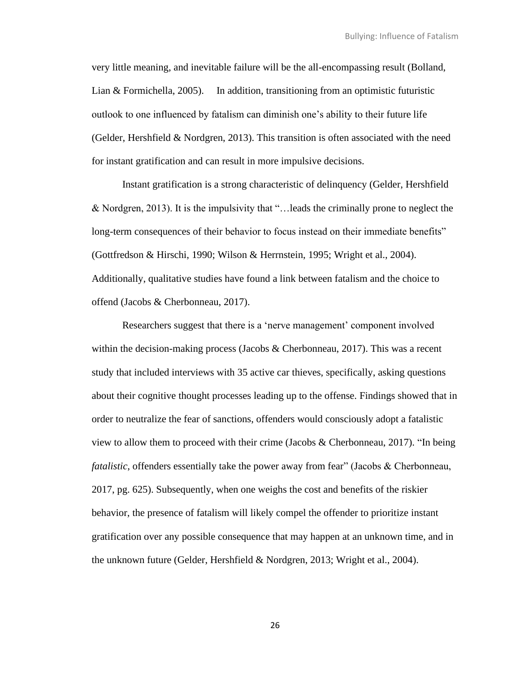very little meaning, and inevitable failure will be the all-encompassing result (Bolland, Lian & Formichella, 2005). In addition, transitioning from an optimistic futuristic outlook to one influenced by fatalism can diminish one's ability to their future life (Gelder, Hershfield  $& N$ ordgren, 2013). This transition is often associated with the need for instant gratification and can result in more impulsive decisions.

Instant gratification is a strong characteristic of delinquency (Gelder, Hershfield & Nordgren, 2013). It is the impulsivity that "…leads the criminally prone to neglect the long-term consequences of their behavior to focus instead on their immediate benefits" (Gottfredson & Hirschi, 1990; Wilson & Herrnstein, 1995; Wright et al., 2004). Additionally, qualitative studies have found a link between fatalism and the choice to offend (Jacobs & Cherbonneau, 2017).

Researchers suggest that there is a 'nerve management' component involved within the decision-making process (Jacobs  $&$  Cherbonneau, 2017). This was a recent study that included interviews with 35 active car thieves, specifically, asking questions about their cognitive thought processes leading up to the offense. Findings showed that in order to neutralize the fear of sanctions, offenders would consciously adopt a fatalistic view to allow them to proceed with their crime (Jacobs & Cherbonneau, 2017). "In being *fatalistic*, offenders essentially take the power away from fear" (Jacobs & Cherbonneau, 2017, pg. 625). Subsequently, when one weighs the cost and benefits of the riskier behavior, the presence of fatalism will likely compel the offender to prioritize instant gratification over any possible consequence that may happen at an unknown time, and in the unknown future (Gelder, Hershfield & Nordgren, 2013; Wright et al., 2004).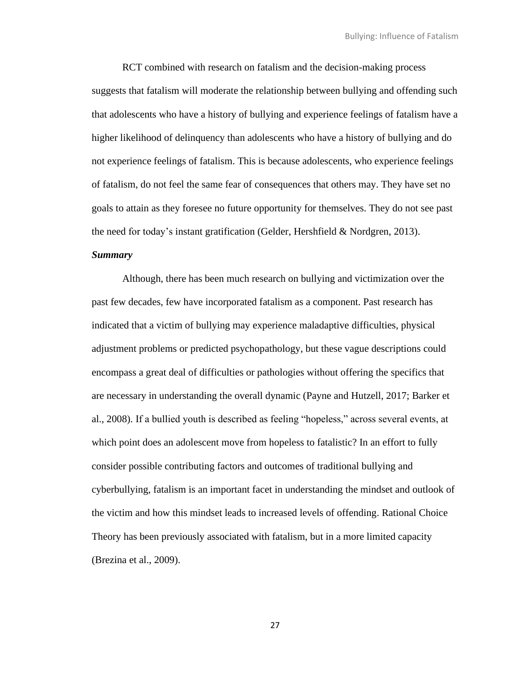RCT combined with research on fatalism and the decision-making process suggests that fatalism will moderate the relationship between bullying and offending such that adolescents who have a history of bullying and experience feelings of fatalism have a higher likelihood of delinquency than adolescents who have a history of bullying and do not experience feelings of fatalism. This is because adolescents, who experience feelings of fatalism, do not feel the same fear of consequences that others may. They have set no goals to attain as they foresee no future opportunity for themselves. They do not see past the need for today's instant gratification (Gelder, Hershfield & Nordgren, 2013).

#### *Summary*

Although, there has been much research on bullying and victimization over the past few decades, few have incorporated fatalism as a component. Past research has indicated that a victim of bullying may experience maladaptive difficulties, physical adjustment problems or predicted psychopathology, but these vague descriptions could encompass a great deal of difficulties or pathologies without offering the specifics that are necessary in understanding the overall dynamic (Payne and Hutzell, 2017; Barker et al., 2008). If a bullied youth is described as feeling "hopeless," across several events, at which point does an adolescent move from hopeless to fatalistic? In an effort to fully consider possible contributing factors and outcomes of traditional bullying and cyberbullying, fatalism is an important facet in understanding the mindset and outlook of the victim and how this mindset leads to increased levels of offending. Rational Choice Theory has been previously associated with fatalism, but in a more limited capacity (Brezina et al., 2009).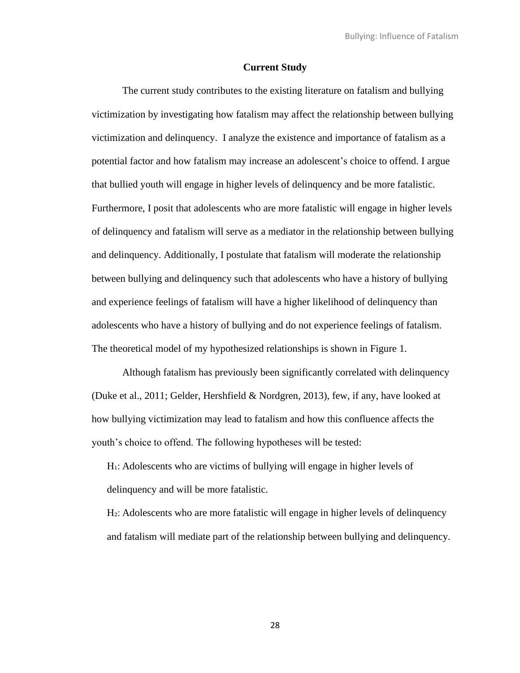#### **Current Study**

The current study contributes to the existing literature on fatalism and bullying victimization by investigating how fatalism may affect the relationship between bullying victimization and delinquency. I analyze the existence and importance of fatalism as a potential factor and how fatalism may increase an adolescent's choice to offend. I argue that bullied youth will engage in higher levels of delinquency and be more fatalistic. Furthermore, I posit that adolescents who are more fatalistic will engage in higher levels of delinquency and fatalism will serve as a mediator in the relationship between bullying and delinquency. Additionally, I postulate that fatalism will moderate the relationship between bullying and delinquency such that adolescents who have a history of bullying and experience feelings of fatalism will have a higher likelihood of delinquency than adolescents who have a history of bullying and do not experience feelings of fatalism. The theoretical model of my hypothesized relationships is shown in Figure 1.

Although fatalism has previously been significantly correlated with delinquency (Duke et al., 2011; Gelder, Hershfield & Nordgren, 2013), few, if any, have looked at how bullying victimization may lead to fatalism and how this confluence affects the youth's choice to offend. The following hypotheses will be tested:

H<sub>1</sub>: Adolescents who are victims of bullying will engage in higher levels of delinquency and will be more fatalistic.

H<sub>2</sub>: Adolescents who are more fatalistic will engage in higher levels of delinquency and fatalism will mediate part of the relationship between bullying and delinquency.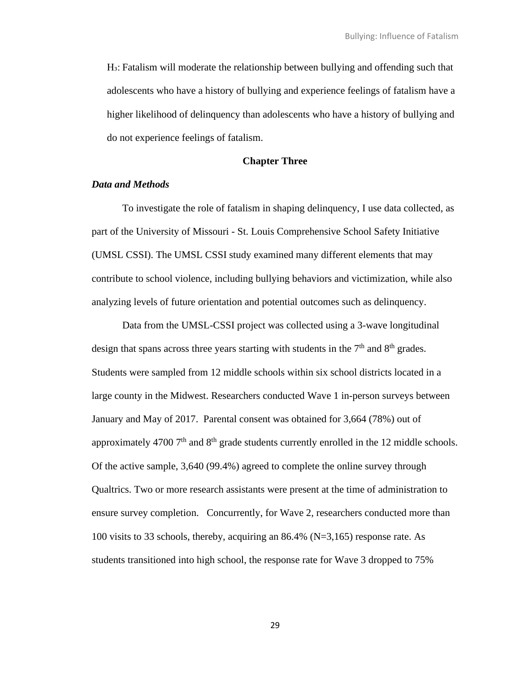H<sub>3</sub>: Fatalism will moderate the relationship between bullying and offending such that adolescents who have a history of bullying and experience feelings of fatalism have a higher likelihood of delinquency than adolescents who have a history of bullying and do not experience feelings of fatalism.

### **Chapter Three**

#### *Data and Methods*

To investigate the role of fatalism in shaping delinquency, I use data collected, as part of the University of Missouri - St. Louis Comprehensive School Safety Initiative (UMSL CSSI). The UMSL CSSI study examined many different elements that may contribute to school violence, including bullying behaviors and victimization, while also analyzing levels of future orientation and potential outcomes such as delinquency.

Data from the UMSL-CSSI project was collected using a 3-wave longitudinal design that spans across three years starting with students in the  $7<sup>th</sup>$  and  $8<sup>th</sup>$  grades. Students were sampled from 12 middle schools within six school districts located in a large county in the Midwest. Researchers conducted Wave 1 in-person surveys between January and May of 2017. Parental consent was obtained for 3,664 (78%) out of approximately 4700  $7<sup>th</sup>$  and  $8<sup>th</sup>$  grade students currently enrolled in the 12 middle schools. Of the active sample, 3,640 (99.4%) agreed to complete the online survey through Qualtrics. Two or more research assistants were present at the time of administration to ensure survey completion. Concurrently, for Wave 2, researchers conducted more than 100 visits to 33 schools, thereby, acquiring an 86.4% (N=3,165) response rate. As students transitioned into high school, the response rate for Wave 3 dropped to 75%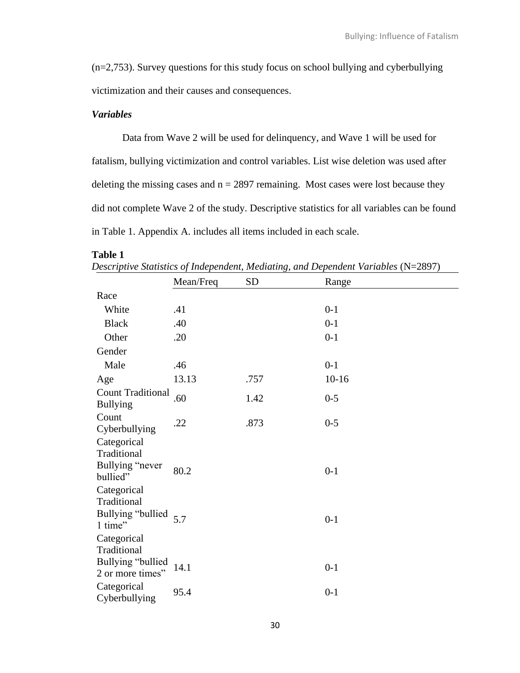(n=2,753). Survey questions for this study focus on school bullying and cyberbullying victimization and their causes and consequences.

# *Variables*

Data from Wave 2 will be used for delinquency, and Wave 1 will be used for fatalism, bullying victimization and control variables. List wise deletion was used after deleting the missing cases and  $n = 2897$  remaining. Most cases were lost because they did not complete Wave 2 of the study. Descriptive statistics for all variables can be found in Table 1. Appendix A. includes all items included in each scale.

### **Table 1**

|                                                                     | Mean/Freq | <b>SD</b> | Range   |
|---------------------------------------------------------------------|-----------|-----------|---------|
| Race                                                                |           |           |         |
| White                                                               | .41       |           | $0 - 1$ |
| <b>Black</b>                                                        | .40       |           | $0 - 1$ |
| Other                                                               | .20       |           | $0 - 1$ |
| Gender                                                              |           |           |         |
| Male                                                                | .46       |           | $0-1$   |
| Age                                                                 | 13.13     | .757      | $10-16$ |
| <b>Count Traditional</b><br><b>Bullying</b>                         | .60       | 1.42      | $0 - 5$ |
| Count<br>Cyberbullying                                              | .22       | .873      | $0 - 5$ |
| Categorical<br>Traditional<br>Bullying "never<br>bullied"           | 80.2      |           | $0 - 1$ |
| Categorical<br>Traditional<br>Bullying "bullied<br>1 time"          | 5.7       |           | $0 - 1$ |
| Categorical<br>Traditional<br>Bullying "bullied<br>2 or more times" | 14.1      |           | $0-1$   |
| Categorical<br>Cyberbullying                                        | 95.4      |           | $0 - 1$ |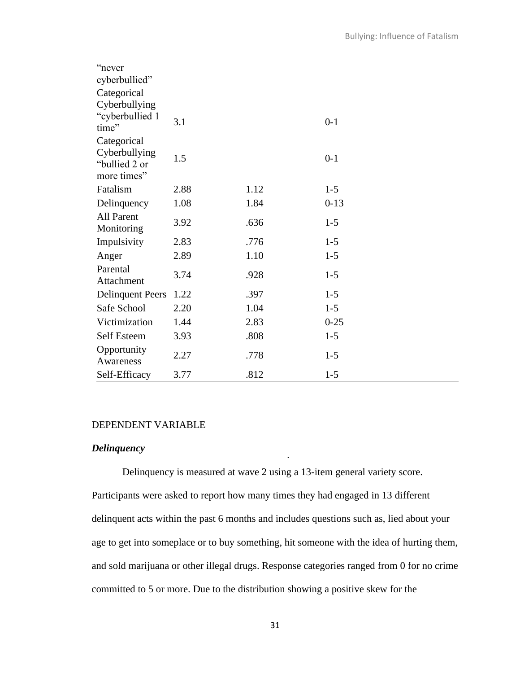| "never                                        |      |      |          |
|-----------------------------------------------|------|------|----------|
| cyberbullied"                                 |      |      |          |
| Categorical                                   |      |      |          |
| Cyberbullying                                 |      |      |          |
| "cyberbullied 1<br>time"                      | 3.1  |      | $0 - 1$  |
| Categorical                                   |      |      |          |
| Cyberbullying<br>"bullied 2 or<br>more times" | 1.5  |      | $0 - 1$  |
|                                               |      |      |          |
| Fatalism                                      | 2.88 | 1.12 | $1 - 5$  |
| Delinquency                                   | 1.08 | 1.84 | $0-13$   |
| <b>All Parent</b><br>Monitoring               | 3.92 | .636 | $1-5$    |
| Impulsivity                                   | 2.83 | .776 | $1 - 5$  |
| Anger                                         | 2.89 | 1.10 | $1 - 5$  |
| Parental<br>Attachment                        | 3.74 | .928 | $1 - 5$  |
| <b>Delinquent Peers</b>                       | 1.22 | .397 | $1 - 5$  |
| Safe School                                   | 2.20 | 1.04 | $1 - 5$  |
| Victimization                                 | 1.44 | 2.83 | $0 - 25$ |
| Self Esteem                                   | 3.93 | .808 | $1 - 5$  |
| Opportunity<br>Awareness                      | 2.27 | .778 | $1 - 5$  |
| Self-Efficacy                                 | 3.77 | .812 | $1 - 5$  |

#### DEPENDENT VARIABLE

# *Delinquency*

Delinquency is measured at wave 2 using a 13-item general variety score. Participants were asked to report how many times they had engaged in 13 different delinquent acts within the past 6 months and includes questions such as, lied about your age to get into someplace or to buy something, hit someone with the idea of hurting them, and sold marijuana or other illegal drugs. Response categories ranged from 0 for no crime committed to 5 or more. Due to the distribution showing a positive skew for the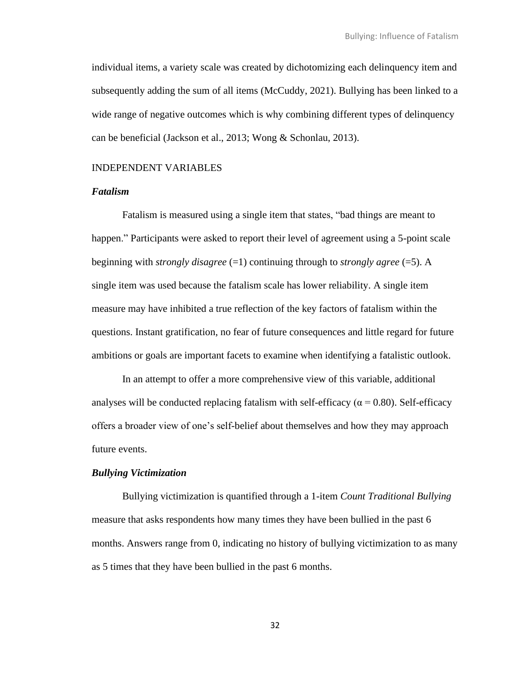individual items, a variety scale was created by dichotomizing each delinquency item and subsequently adding the sum of all items (McCuddy, 2021). Bullying has been linked to a wide range of negative outcomes which is why combining different types of delinquency can be beneficial (Jackson et al., 2013; Wong & Schonlau, 2013).

# INDEPENDENT VARIABLES

# *Fatalism*

Fatalism is measured using a single item that states, "bad things are meant to happen." Participants were asked to report their level of agreement using a 5-point scale beginning with *strongly disagree* (=1) continuing through to *strongly agree* (=5). A single item was used because the fatalism scale has lower reliability. A single item measure may have inhibited a true reflection of the key factors of fatalism within the questions. Instant gratification, no fear of future consequences and little regard for future ambitions or goals are important facets to examine when identifying a fatalistic outlook.

In an attempt to offer a more comprehensive view of this variable, additional analyses will be conducted replacing fatalism with self-efficacy ( $\alpha$  = 0.80). Self-efficacy offers a broader view of one's self-belief about themselves and how they may approach future events.

### *Bullying Victimization*

Bullying victimization is quantified through a 1-item *Count Traditional Bullying* measure that asks respondents how many times they have been bullied in the past 6 months. Answers range from 0, indicating no history of bullying victimization to as many as 5 times that they have been bullied in the past 6 months.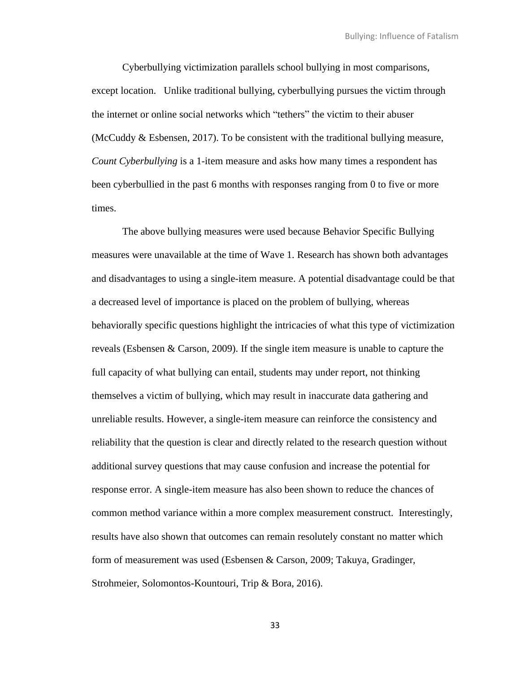Cyberbullying victimization parallels school bullying in most comparisons, except location. Unlike traditional bullying, cyberbullying pursues the victim through the internet or online social networks which "tethers" the victim to their abuser (McCuddy  $&$  Esbensen, 2017). To be consistent with the traditional bullying measure, *Count Cyberbullying* is a 1-item measure and asks how many times a respondent has been cyberbullied in the past 6 months with responses ranging from 0 to five or more times.

The above bullying measures were used because Behavior Specific Bullying measures were unavailable at the time of Wave 1. Research has shown both advantages and disadvantages to using a single-item measure. A potential disadvantage could be that a decreased level of importance is placed on the problem of bullying, whereas behaviorally specific questions highlight the intricacies of what this type of victimization reveals (Esbensen & Carson, 2009). If the single item measure is unable to capture the full capacity of what bullying can entail, students may under report, not thinking themselves a victim of bullying, which may result in inaccurate data gathering and unreliable results. However, a single-item measure can reinforce the consistency and reliability that the question is clear and directly related to the research question without additional survey questions that may cause confusion and increase the potential for response error. A single-item measure has also been shown to reduce the chances of common method variance within a more complex measurement construct. Interestingly, results have also shown that outcomes can remain resolutely constant no matter which form of measurement was used (Esbensen & Carson, 2009; Takuya, Gradinger, Strohmeier, Solomontos-Kountouri, Trip & Bora, 2016).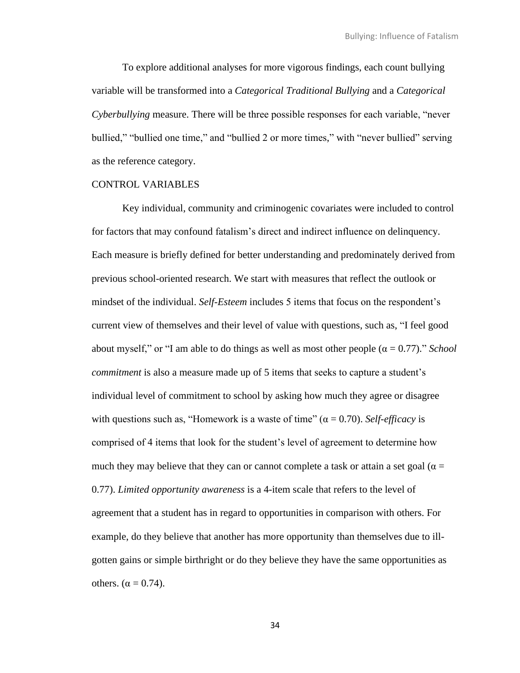To explore additional analyses for more vigorous findings, each count bullying variable will be transformed into a *Categorical Traditional Bullying* and a *Categorical Cyberbullying* measure. There will be three possible responses for each variable, "never bullied," "bullied one time," and "bullied 2 or more times," with "never bullied" serving as the reference category.

### CONTROL VARIABLES

Key individual, community and criminogenic covariates were included to control for factors that may confound fatalism's direct and indirect influence on delinquency. Each measure is briefly defined for better understanding and predominately derived from previous school-oriented research. We start with measures that reflect the outlook or mindset of the individual. *Self-Esteem* includes 5 items that focus on the respondent's current view of themselves and their level of value with questions, such as, "I feel good about myself," or "I am able to do things as well as most other people  $(\alpha = 0.77)$ ." *School commitment* is also a measure made up of 5 items that seeks to capture a student's individual level of commitment to school by asking how much they agree or disagree with questions such as, "Homework is a waste of time" ( $\alpha = 0.70$ ). *Self-efficacy* is comprised of 4 items that look for the student's level of agreement to determine how much they may believe that they can or cannot complete a task or attain a set goal ( $\alpha$  = 0.77). *Limited opportunity awareness* is a 4-item scale that refers to the level of agreement that a student has in regard to opportunities in comparison with others. For example, do they believe that another has more opportunity than themselves due to illgotten gains or simple birthright or do they believe they have the same opportunities as others.  $(\alpha = 0.74)$ .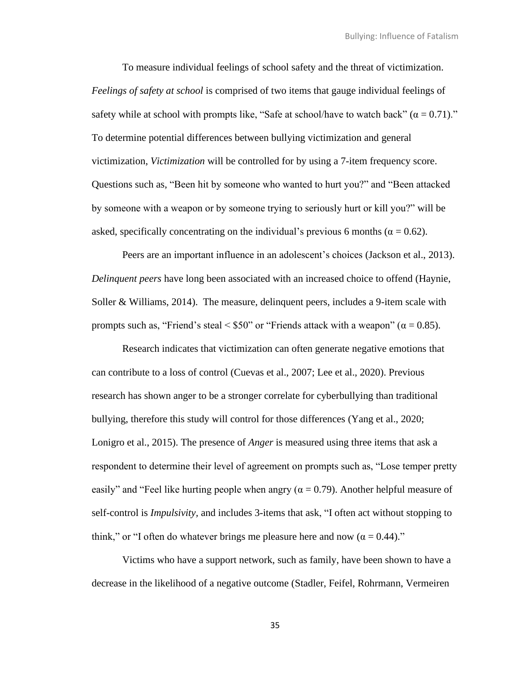To measure individual feelings of school safety and the threat of victimization. *Feelings of safety at school* is comprised of two items that gauge individual feelings of safety while at school with prompts like, "Safe at school/have to watch back"  $(\alpha = 0.71)$ ." To determine potential differences between bullying victimization and general victimization, *Victimization* will be controlled for by using a 7-item frequency score. Questions such as, "Been hit by someone who wanted to hurt you?" and "Been attacked by someone with a weapon or by someone trying to seriously hurt or kill you?" will be asked, specifically concentrating on the individual's previous 6 months ( $\alpha = 0.62$ ).

Peers are an important influence in an adolescent's choices (Jackson et al., 2013). *Delinquent peers* have long been associated with an increased choice to offend (Haynie, Soller & Williams, 2014). The measure, delinquent peers, includes a 9-item scale with prompts such as, "Friend's steal < \$50" or "Friends attack with a weapon" ( $α = 0.85$ ).

Research indicates that victimization can often generate negative emotions that can contribute to a loss of control (Cuevas et al., 2007; Lee et al., 2020). Previous research has shown anger to be a stronger correlate for cyberbullying than traditional bullying, therefore this study will control for those differences (Yang et al., 2020; Lonigro et al., 2015). The presence of *Anger* is measured using three items that ask a respondent to determine their level of agreement on prompts such as, "Lose temper pretty easily" and "Feel like hurting people when angry ( $\alpha = 0.79$ ). Another helpful measure of self-control is *Impulsivity,* and includes 3-items that ask, "I often act without stopping to think," or "I often do whatever brings me pleasure here and now ( $\alpha = 0.44$ )."

Victims who have a support network, such as family, have been shown to have a decrease in the likelihood of a negative outcome (Stadler, Feifel, Rohrmann, Vermeiren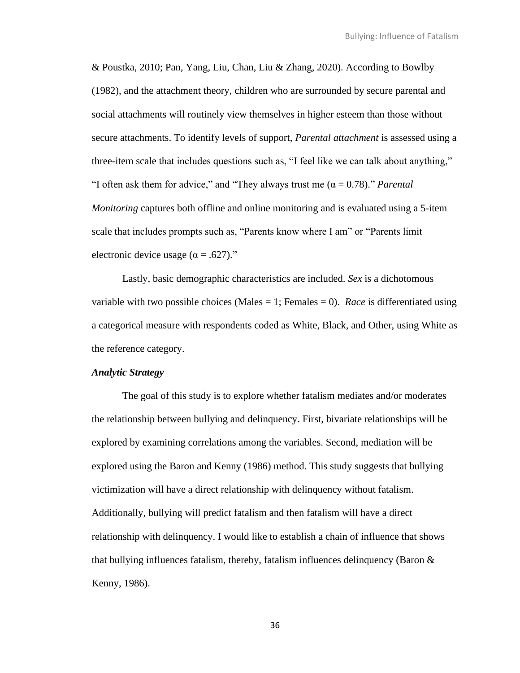& Poustka, 2010; Pan, Yang, Liu, Chan, Liu & Zhang, 2020). According to Bowlby (1982), and the attachment theory, children who are surrounded by secure parental and social attachments will routinely view themselves in higher esteem than those without secure attachments. To identify levels of support, *Parental attachment* is assessed using a three-item scale that includes questions such as, "I feel like we can talk about anything," "I often ask them for advice," and "They always trust me  $(\alpha = 0.78)$ ." *Parental Monitoring* captures both offline and online monitoring and is evaluated using a 5-item scale that includes prompts such as, "Parents know where I am" or "Parents limit" electronic device usage  $(\alpha = .627)$ ."

Lastly, basic demographic characteristics are included. *Sex* is a dichotomous variable with two possible choices (Males = 1; Females = 0). *Race* is differentiated using a categorical measure with respondents coded as White, Black, and Other, using White as the reference category.

### *Analytic Strategy*

The goal of this study is to explore whether fatalism mediates and/or moderates the relationship between bullying and delinquency. First, bivariate relationships will be explored by examining correlations among the variables. Second, mediation will be explored using the Baron and Kenny (1986) method. This study suggests that bullying victimization will have a direct relationship with delinquency without fatalism. Additionally, bullying will predict fatalism and then fatalism will have a direct relationship with delinquency. I would like to establish a chain of influence that shows that bullying influences fatalism, thereby, fatalism influences delinquency (Baron & Kenny, 1986).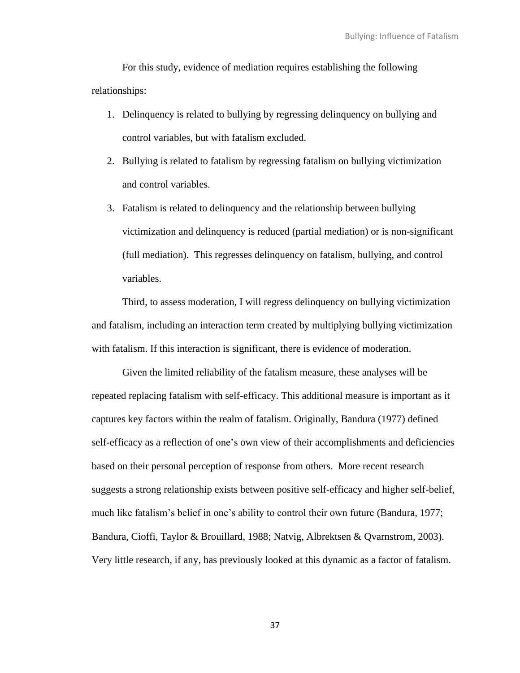For this study, evidence of mediation requires establishing the following relationships:

- 1. Delinquency is related to bullying by regressing delinquency on bullying and control variables, but with fatalism excluded.
- 2. Bullying is related to fatalism by regressing fatalism on bullying victimization and control variables.
- 3. Fatalism is related to delinquency and the relationship between bullying victimization and delinquency is reduced (partial mediation) or is non-significant (full mediation). This regresses delinquency on fatalism, bullying, and control variables.

Third, to assess moderation, I will regress delinquency on bullying victimization and fatalism, including an interaction term created by multiplying bullying victimization with fatalism. If this interaction is significant, there is evidence of moderation.

Given the limited reliability of the fatalism measure, these analyses will be repeated replacing fatalism with self-efficacy. This additional measure is important as it captures key factors within the realm of fatalism. Originally, Bandura (1977) defined self-efficacy as a reflection of one's own view of their accomplishments and deficiencies based on their personal perception of response from others. More recent research suggests a strong relationship exists between positive self-efficacy and higher self-belief, much like fatalism's belief in one's ability to control their own future (Bandura, 1977; Bandura, Cioffi, Taylor & Brouillard, 1988; Natvig, Albrektsen & Qvarnstrom, 2003). Very little research, if any, has previously looked at this dynamic as a factor of fatalism.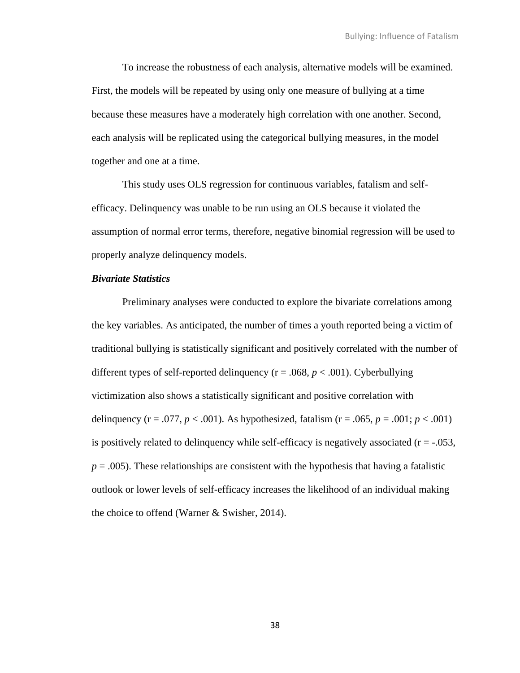To increase the robustness of each analysis, alternative models will be examined. First, the models will be repeated by using only one measure of bullying at a time because these measures have a moderately high correlation with one another. Second, each analysis will be replicated using the categorical bullying measures, in the model together and one at a time.

This study uses OLS regression for continuous variables, fatalism and selfefficacy. Delinquency was unable to be run using an OLS because it violated the assumption of normal error terms, therefore, negative binomial regression will be used to properly analyze delinquency models.

## *Bivariate Statistics*

Preliminary analyses were conducted to explore the bivariate correlations among the key variables. As anticipated, the number of times a youth reported being a victim of traditional bullying is statistically significant and positively correlated with the number of different types of self-reported delinquency (r = .068, *p* < .001). Cyberbullying victimization also shows a statistically significant and positive correlation with delinquency ( $r = .077$ ,  $p < .001$ ). As hypothesized, fatalism ( $r = .065$ ,  $p = .001$ ;  $p < .001$ ) is positively related to delinquency while self-efficacy is negatively associated  $(r = -0.053,$  $p = .005$ ). These relationships are consistent with the hypothesis that having a fatalistic outlook or lower levels of self-efficacy increases the likelihood of an individual making the choice to offend (Warner & Swisher, 2014).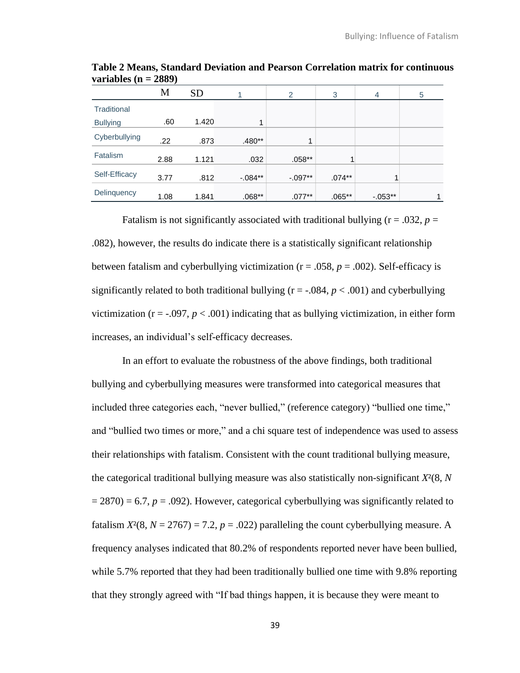|                 | M    | <b>SD</b> |           | 2         | 3        | $\overline{4}$ | 5 |
|-----------------|------|-----------|-----------|-----------|----------|----------------|---|
| Traditional     |      |           |           |           |          |                |   |
| <b>Bullying</b> | .60  | 1.420     | 1         |           |          |                |   |
| Cyberbullying   | .22  | .873      | $.480**$  | 1         |          |                |   |
| Fatalism        | 2.88 | 1.121     | .032      | $.058**$  |          |                |   |
| Self-Efficacy   | 3.77 | .812      | $-.084**$ | $-.097**$ | $.074**$ | 4              |   |
| Delinquency     | 1.08 | 1.841     | $.068**$  | $.077**$  | $.065**$ | $-0.053**$     |   |

**Table 2 Means, Standard Deviation and Pearson Correlation matrix for continuous variables (n = 2889)**

Fatalism is not significantly associated with traditional bullying  $(r = .032, p =$ .082), however, the results do indicate there is a statistically significant relationship between fatalism and cyberbullying victimization ( $r = .058$ ,  $p = .002$ ). Self-efficacy is significantly related to both traditional bullying  $(r = -0.084, p < .001)$  and cyberbullying victimization ( $r = -0.097$ ,  $p < 0.001$ ) indicating that as bullying victimization, in either form increases, an individual's self-efficacy decreases.

In an effort to evaluate the robustness of the above findings, both traditional bullying and cyberbullying measures were transformed into categorical measures that included three categories each, "never bullied," (reference category) "bullied one time," and "bullied two times or more," and a chi square test of independence was used to assess their relationships with fatalism. Consistent with the count traditional bullying measure, the categorical traditional bullying measure was also statistically non-significant *X*²(8, *N*  $= 2870$ ) = 6.7,  $p = .092$ ). However, categorical cyberbullying was significantly related to fatalism  $X^2(8, N = 2767) = 7.2$ ,  $p = .022$ ) paralleling the count cyberbullying measure. A frequency analyses indicated that 80.2% of respondents reported never have been bullied, while 5.7% reported that they had been traditionally bullied one time with 9.8% reporting that they strongly agreed with "If bad things happen, it is because they were meant to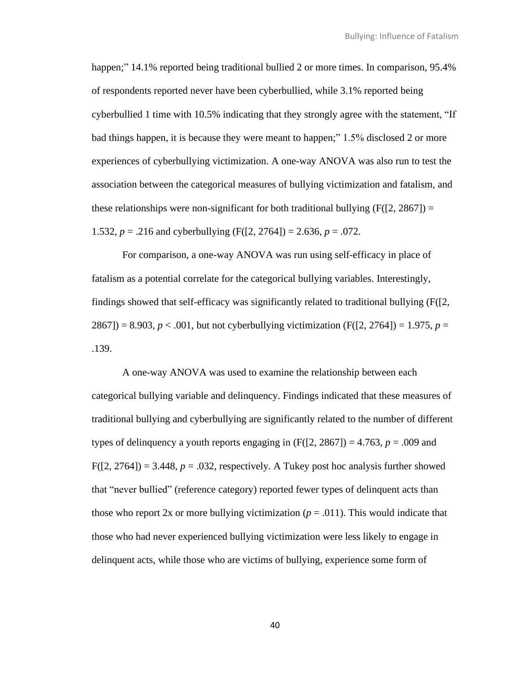happen;" 14.1% reported being traditional bullied 2 or more times. In comparison, 95.4% of respondents reported never have been cyberbullied, while 3.1% reported being cyberbullied 1 time with 10.5% indicating that they strongly agree with the statement, "If bad things happen, it is because they were meant to happen;" 1.5% disclosed 2 or more experiences of cyberbullying victimization. A one-way ANOVA was also run to test the association between the categorical measures of bullying victimization and fatalism, and these relationships were non-significant for both traditional bullying  $(F(2, 2867)) =$ 1.532,  $p = .216$  and cyberbullying (F([2, 2764]) = 2.636,  $p = .072$ .

For comparison, a one-way ANOVA was run using self-efficacy in place of fatalism as a potential correlate for the categorical bullying variables. Interestingly, findings showed that self-efficacy was significantly related to traditional bullying (F([2, 2867]) = 8.903,  $p < .001$ , but not cyberbullying victimization (F([2, 2764]) = 1.975,  $p =$ .139.

A one-way ANOVA was used to examine the relationship between each categorical bullying variable and delinquency. Findings indicated that these measures of traditional bullying and cyberbullying are significantly related to the number of different types of delinquency a youth reports engaging in  $(F([2, 2867]) = 4.763, p = .009$  and  $F([2, 2764]) = 3.448$ ,  $p = .032$ , respectively. A Tukey post hoc analysis further showed that "never bullied" (reference category) reported fewer types of delinquent acts than those who report 2x or more bullying victimization  $(p = .011)$ . This would indicate that those who had never experienced bullying victimization were less likely to engage in delinquent acts, while those who are victims of bullying, experience some form of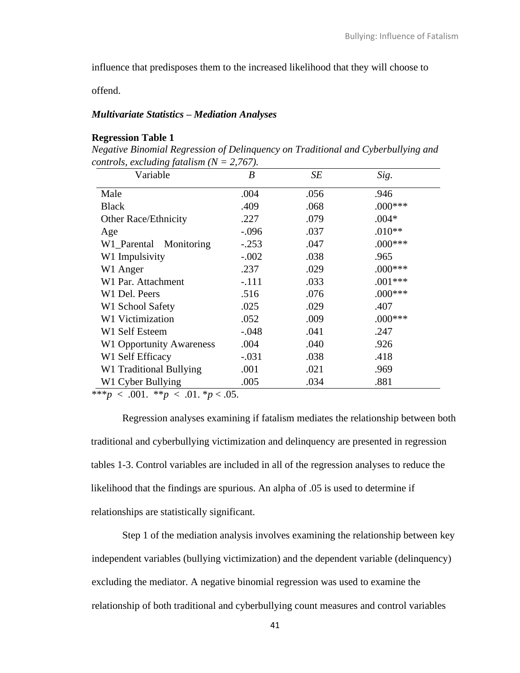influence that predisposes them to the increased likelihood that they will choose to

offend.

## *Multivariate Statistics – Mediation Analyses*

# **Regression Table 1**

*Negative Binomial Regression of Delinquency on Traditional and Cyberbullying and controls, excluding fatalism (N = 2,767).* 

| Variable                        | $\boldsymbol{B}$ | SE   | Sig.      |
|---------------------------------|------------------|------|-----------|
| Male                            | .004             | .056 | .946      |
| <b>Black</b>                    | .409             | .068 | $.000***$ |
| <b>Other Race/Ethnicity</b>     | .227             | .079 | $.004*$   |
| Age                             | $-.096$          | .037 | $.010**$  |
| W1_Parental<br>Monitoring       | $-.253$          | .047 | $.000***$ |
| W1 Impulsivity                  | $-.002$          | .038 | .965      |
| W1 Anger                        | .237             | .029 | $.000***$ |
| W1 Par. Attachment              | $-.111$          | .033 | $.001***$ |
| W1 Del. Peers                   | .516             | .076 | $.000***$ |
| W1 School Safety                | .025             | .029 | .407      |
| <b>W1 Victimization</b>         | .052             | .009 | $.000***$ |
| W1 Self Esteem                  | $-.048$          | .041 | .247      |
| <b>W1 Opportunity Awareness</b> | .004             | .040 | .926      |
| W1 Self Efficacy                | $-.031$          | .038 | .418      |
| W1 Traditional Bullying         | .001             | .021 | .969      |
| W1 Cyber Bullying               | .005             | .034 | .881      |

\*\*\**p* < .001. \*\**p* < .01. \**p* < .05.

Regression analyses examining if fatalism mediates the relationship between both traditional and cyberbullying victimization and delinquency are presented in regression tables 1-3. Control variables are included in all of the regression analyses to reduce the likelihood that the findings are spurious. An alpha of .05 is used to determine if relationships are statistically significant.

Step 1 of the mediation analysis involves examining the relationship between key independent variables (bullying victimization) and the dependent variable (delinquency) excluding the mediator. A negative binomial regression was used to examine the relationship of both traditional and cyberbullying count measures and control variables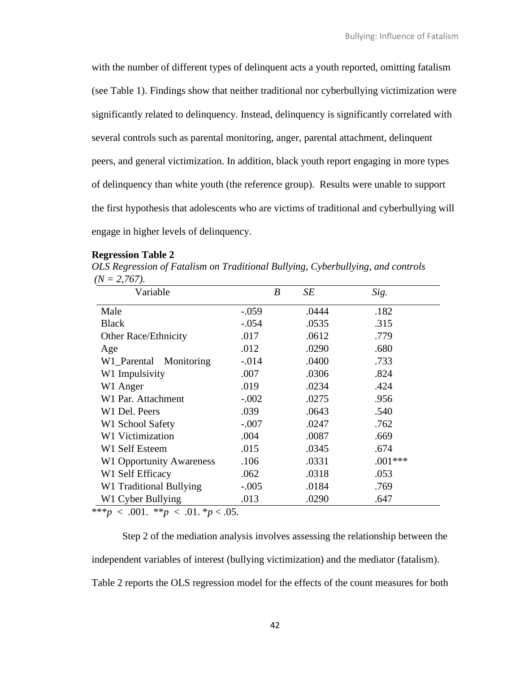with the number of different types of delinquent acts a youth reported, omitting fatalism (see Table 1). Findings show that neither traditional nor cyberbullying victimization were significantly related to delinquency. Instead, delinquency is significantly correlated with several controls such as parental monitoring, anger, parental attachment, delinquent peers, and general victimization. In addition, black youth report engaging in more types of delinquency than white youth (the reference group). Results were unable to support the first hypothesis that adolescents who are victims of traditional and cyberbullying will engage in higher levels of delinquency.

#### **Regression Table 2**

*OLS Regression of Fatalism on Traditional Bullying, Cyberbullying, and controls*  $(N = 2,767)$ .

| Variable                        |         | SE<br>B | Sig.      |
|---------------------------------|---------|---------|-----------|
| Male                            | $-.059$ | .0444   | .182      |
| <b>Black</b>                    | $-.054$ | .0535   | .315      |
| <b>Other Race/Ethnicity</b>     | .017    | .0612   | .779      |
| Age                             | .012    | .0290   | .680      |
| W1_Parental Monitoring          | $-.014$ | .0400   | .733      |
| W1 Impulsivity                  | .007    | .0306   | .824      |
| W1 Anger                        | .019    | .0234   | .424      |
| W1 Par. Attachment              | $-.002$ | .0275   | .956      |
| W1 Del. Peers                   | .039    | .0643   | .540      |
| W1 School Safety                | $-.007$ | .0247   | .762      |
| <b>W1 Victimization</b>         | .004    | .0087   | .669      |
| W1 Self Esteem                  | .015    | .0345   | .674      |
| <b>W1 Opportunity Awareness</b> | .106    | .0331   | $.001***$ |
| W1 Self Efficacy                | .062    | .0318   | .053      |
| W1 Traditional Bullying         | $-.005$ | .0184   | .769      |
| W1 Cyber Bullying               | .013    | .0290   | .647      |

\*\*\**p* < .001. \*\**p* < .01. \**p* < .05.

Step 2 of the mediation analysis involves assessing the relationship between the independent variables of interest (bullying victimization) and the mediator (fatalism). Table 2 reports the OLS regression model for the effects of the count measures for both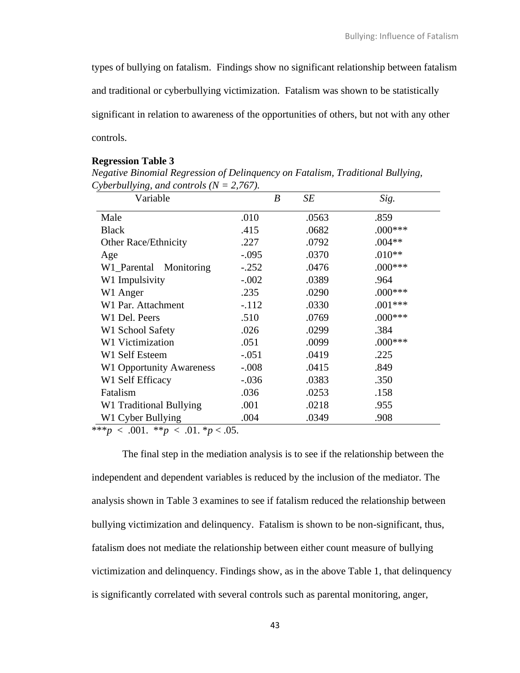types of bullying on fatalism. Findings show no significant relationship between fatalism and traditional or cyberbullying victimization. Fatalism was shown to be statistically significant in relation to awareness of the opportunities of others, but not with any other controls.

# **Regression Table 3**

*Negative Binomial Regression of Delinquency on Fatalism, Traditional Bullying, Cyberbullying, and controls (N = 2,767).* 

| Variable                        |         | B<br>SE | Sig.      |
|---------------------------------|---------|---------|-----------|
| Male                            | .010    | .0563   | .859      |
| <b>Black</b>                    | .415    | .0682   | $.000***$ |
| Other Race/Ethnicity            | .227    | .0792   | $.004**$  |
| Age                             | $-.095$ | .0370   | $.010**$  |
| W1_Parental<br>Monitoring       | $-.252$ | .0476   | $.000***$ |
| W1 Impulsivity                  | $-.002$ | .0389   | .964      |
| W1 Anger                        | .235    | .0290   | $.000***$ |
| W1 Par. Attachment              | $-.112$ | .0330   | $.001***$ |
| W1 Del. Peers                   | .510    | .0769   | $.000***$ |
| W1 School Safety                | .026    | .0299   | .384      |
| W1 Victimization                | .051    | .0099   | $.000***$ |
| W1 Self Esteem                  | $-.051$ | .0419   | .225      |
| <b>W1 Opportunity Awareness</b> | $-.008$ | .0415   | .849      |
| W1 Self Efficacy                | $-.036$ | .0383   | .350      |
| Fatalism                        | .036    | .0253   | .158      |
| W1 Traditional Bullying         | .001    | .0218   | .955      |
| W1 Cyber Bullying               | .004    | .0349   | .908      |

\*\*\**p* < .001. \*\**p* < .01. \**p* < .05.

The final step in the mediation analysis is to see if the relationship between the independent and dependent variables is reduced by the inclusion of the mediator. The analysis shown in Table 3 examines to see if fatalism reduced the relationship between bullying victimization and delinquency. Fatalism is shown to be non-significant, thus, fatalism does not mediate the relationship between either count measure of bullying victimization and delinquency. Findings show, as in the above Table 1, that delinquency is significantly correlated with several controls such as parental monitoring, anger,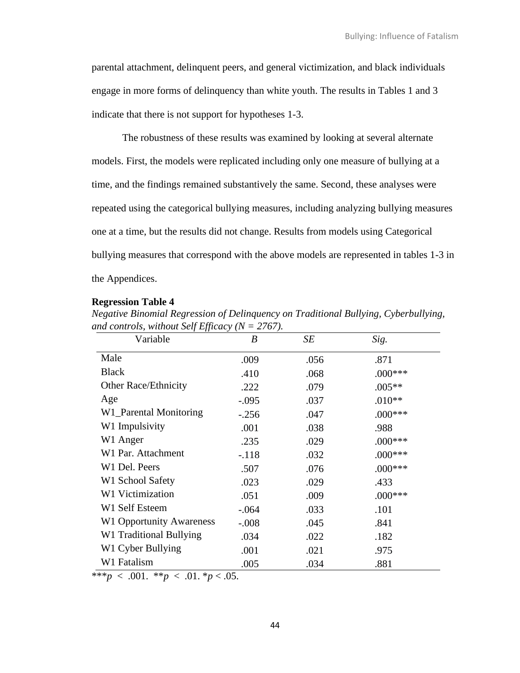parental attachment, delinquent peers, and general victimization, and black individuals engage in more forms of delinquency than white youth. The results in Tables 1 and 3 indicate that there is not support for hypotheses 1-3.

The robustness of these results was examined by looking at several alternate models. First, the models were replicated including only one measure of bullying at a time, and the findings remained substantively the same. Second, these analyses were repeated using the categorical bullying measures, including analyzing bullying measures one at a time, but the results did not change. Results from models using Categorical bullying measures that correspond with the above models are represented in tables 1-3 in the Appendices.

#### **Regression Table 4**

| Negative Binomial Regression of Delinquency on Traditional Bullying, Cyberbullying, |  |
|-------------------------------------------------------------------------------------|--|
| and controls, without Self Efficacy ( $N = 2767$ ).                                 |  |

| Variable                        | $\boldsymbol{B}$ | SE   | Sig.       |
|---------------------------------|------------------|------|------------|
| Male                            | .009             | .056 | .871       |
| <b>Black</b>                    | .410             | .068 | $.000***$  |
| <b>Other Race/Ethnicity</b>     | .222             | .079 | $.005**$   |
| Age                             | $-.095$          | .037 | $.010**$   |
| W1_Parental Monitoring          | $-.256$          | .047 | $.000$ *** |
| W1 Impulsivity                  | .001             | .038 | .988       |
| W1 Anger                        | .235             | .029 | $.000***$  |
| W1 Par. Attachment              | $-.118$          | .032 | $.000***$  |
| W1 Del. Peers                   | .507             | .076 | $.000$ *** |
| W1 School Safety                | .023             | .029 | .433       |
| W1 Victimization                | .051             | .009 | $.000***$  |
| W1 Self Esteem                  | $-.064$          | .033 | .101       |
| <b>W1 Opportunity Awareness</b> | $-.008$          | .045 | .841       |
| W1 Traditional Bullying         | .034             | .022 | .182       |
| W1 Cyber Bullying               | .001             | .021 | .975       |
| W1 Fatalism                     | .005             | .034 | .881       |

 $***p* < .001.$   $***p* < .01.$   $**p* < .05.$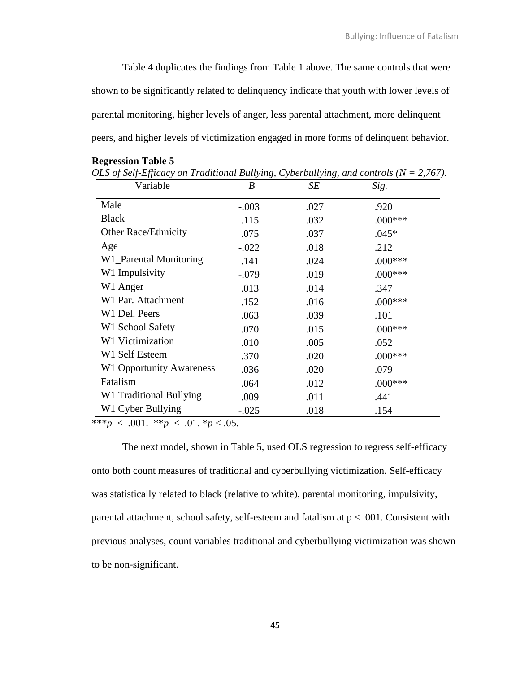Table 4 duplicates the findings from Table 1 above. The same controls that were shown to be significantly related to delinquency indicate that youth with lower levels of parental monitoring, higher levels of anger, less parental attachment, more delinquent peers, and higher levels of victimization engaged in more forms of delinquent behavior.

*OLS of Self-Efficacy on Traditional Bullying, Cyberbullying, and controls (N = 2,767).* 

| Variable                        | B       | SE   | Sig.      |
|---------------------------------|---------|------|-----------|
| Male                            | $-.003$ | .027 | .920      |
| <b>Black</b>                    | .115    | .032 | $.000***$ |
| <b>Other Race/Ethnicity</b>     | .075    | .037 | $.045*$   |
| Age                             | $-.022$ | .018 | .212      |
| W1_Parental Monitoring          | .141    | .024 | $.000***$ |
| W1 Impulsivity                  | $-.079$ | .019 | $.000***$ |
| W1 Anger                        | .013    | .014 | .347      |
| W1 Par. Attachment              | .152    | .016 | $.000***$ |
| W1 Del. Peers                   | .063    | .039 | .101      |
| W1 School Safety                | .070    | .015 | $.000***$ |
| W1 Victimization                | .010    | .005 | .052      |
| W1 Self Esteem                  | .370    | .020 | $.000***$ |
| <b>W1 Opportunity Awareness</b> | .036    | .020 | .079      |
| Fatalism                        | .064    | .012 | $.000***$ |
| W1 Traditional Bullying         | .009    | .011 | .441      |
| W1 Cyber Bullying               | $-.025$ | .018 | .154      |

**Regression Table 5**

\*\*\**p* < .001. \*\**p* < .01. \**p* < .05.

The next model, shown in Table 5, used OLS regression to regress self-efficacy onto both count measures of traditional and cyberbullying victimization. Self-efficacy was statistically related to black (relative to white), parental monitoring, impulsivity, parental attachment, school safety, self-esteem and fatalism at  $p < .001$ . Consistent with previous analyses, count variables traditional and cyberbullying victimization was shown to be non-significant.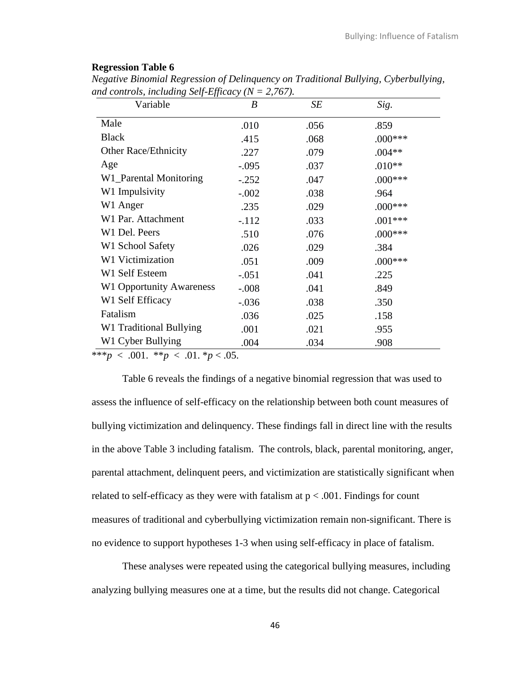| <b>Regression Table 6</b> |  |  |
|---------------------------|--|--|
|---------------------------|--|--|

| Variable                        | $\boldsymbol{B}$ | SE   | Sig.      |
|---------------------------------|------------------|------|-----------|
| Male                            | .010             | .056 | .859      |
| <b>Black</b>                    | .415             | .068 | $.000***$ |
| <b>Other Race/Ethnicity</b>     | .227             | .079 | $.004**$  |
| Age                             | $-.095$          | .037 | $.010**$  |
| W1_Parental Monitoring          | $-.252$          | .047 | $.000***$ |
| W1 Impulsivity                  | $-.002$          | .038 | .964      |
| W1 Anger                        | .235             | .029 | $.000***$ |
| W1 Par. Attachment              | $-.112$          | .033 | $.001***$ |
| W1 Del. Peers                   | .510             | .076 | $.000***$ |
| W1 School Safety                | .026             | .029 | .384      |
| W1 Victimization                | .051             | .009 | $.000***$ |
| W1 Self Esteem                  | $-.051$          | .041 | .225      |
| <b>W1 Opportunity Awareness</b> | $-.008$          | .041 | .849      |
| W1 Self Efficacy                | $-.036$          | .038 | .350      |
| Fatalism                        | .036             | .025 | .158      |
| W1 Traditional Bullying         | .001             | .021 | .955      |
| W1 Cyber Bullying               | .004             | .034 | .908      |

*Negative Binomial Regression of Delinquency on Traditional Bullying, Cyberbullying,*  and controls, including Self-Efficacy  $(N = 2.767)$ .

\*\*\**p* < .001. \*\**p* < .01. \**p* < .05.

Table 6 reveals the findings of a negative binomial regression that was used to assess the influence of self-efficacy on the relationship between both count measures of bullying victimization and delinquency. These findings fall in direct line with the results in the above Table 3 including fatalism. The controls, black, parental monitoring, anger, parental attachment, delinquent peers, and victimization are statistically significant when related to self-efficacy as they were with fatalism at  $p < .001$ . Findings for count measures of traditional and cyberbullying victimization remain non-significant. There is no evidence to support hypotheses 1-3 when using self-efficacy in place of fatalism.

These analyses were repeated using the categorical bullying measures, including analyzing bullying measures one at a time, but the results did not change. Categorical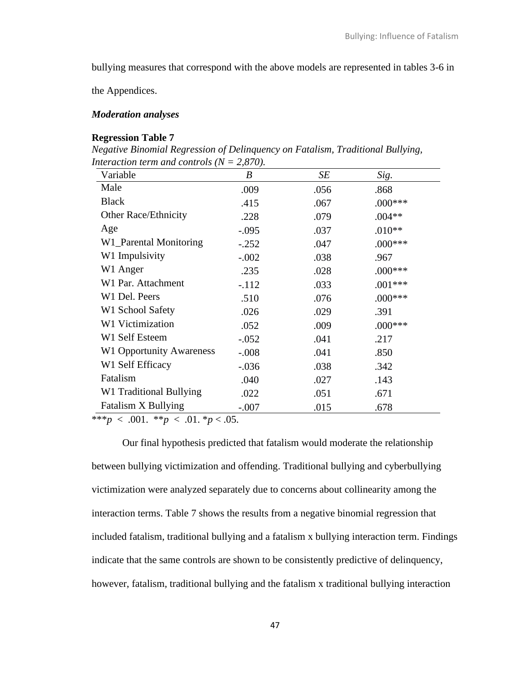bullying measures that correspond with the above models are represented in tables 3-6 in

the Appendices.

### *Moderation analyses*

### **Regression Table 7**

*Negative Binomial Regression of Delinquency on Fatalism, Traditional Bullying, Interaction term and controls (N = 2,870).* 

| Variable                        | $\boldsymbol{B}$ | SE   | Sig.       |
|---------------------------------|------------------|------|------------|
| Male                            | .009             | .056 | .868       |
| <b>Black</b>                    | .415             | .067 | $.000***$  |
| <b>Other Race/Ethnicity</b>     | .228             | .079 | $.004**$   |
| Age                             | $-.095$          | .037 | $.010**$   |
| W1_Parental Monitoring          | $-.252$          | .047 | $.000$ *** |
| W1 Impulsivity                  | $-.002$          | .038 | .967       |
| W1 Anger                        | .235             | .028 | $.000***$  |
| W1 Par. Attachment              | $-.112$          | .033 | $.001***$  |
| W1 Del. Peers                   | .510             | .076 | $.000$ *** |
| W1 School Safety                | .026             | .029 | .391       |
| W1 Victimization                | .052             | .009 | $.000***$  |
| W1 Self Esteem                  | $-.052$          | .041 | .217       |
| <b>W1 Opportunity Awareness</b> | $-.008$          | .041 | .850       |
| W1 Self Efficacy                | $-.036$          | .038 | .342       |
| Fatalism                        | .040             | .027 | .143       |
| W1 Traditional Bullying         | .022             | .051 | .671       |
| Fatalism X Bullying             | $-.007$          | .015 | .678       |

\*\*\**p* < .001. \*\**p* < .01. \**p* < .05.

Our final hypothesis predicted that fatalism would moderate the relationship between bullying victimization and offending. Traditional bullying and cyberbullying victimization were analyzed separately due to concerns about collinearity among the interaction terms. Table 7 shows the results from a negative binomial regression that included fatalism, traditional bullying and a fatalism x bullying interaction term. Findings indicate that the same controls are shown to be consistently predictive of delinquency, however, fatalism, traditional bullying and the fatalism x traditional bullying interaction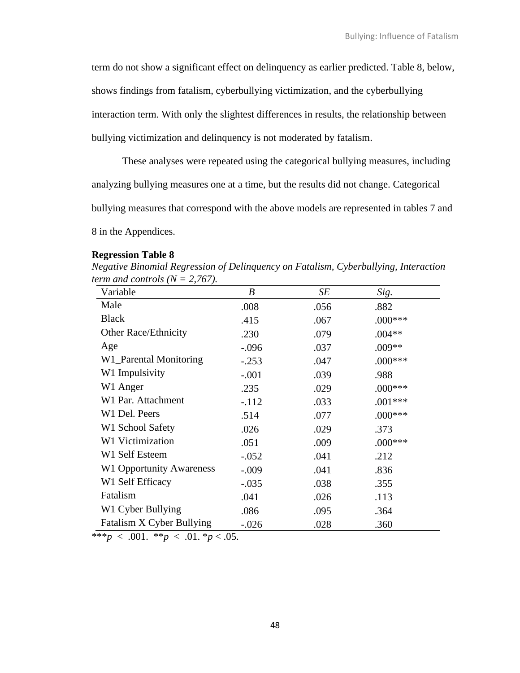term do not show a significant effect on delinquency as earlier predicted. Table 8, below,

shows findings from fatalism, cyberbullying victimization, and the cyberbullying

interaction term. With only the slightest differences in results, the relationship between

bullying victimization and delinquency is not moderated by fatalism.

These analyses were repeated using the categorical bullying measures, including analyzing bullying measures one at a time, but the results did not change. Categorical bullying measures that correspond with the above models are represented in tables 7 and 8 in the Appendices.

#### **Regression Table 8**

*Negative Binomial Regression of Delinquency on Fatalism, Cyberbullying, Interaction term and controls*  $(N = 2,767)$ *.* 

| Variable                        | B       | SE   | Sig.       |
|---------------------------------|---------|------|------------|
| Male                            | .008    | .056 | .882       |
| <b>Black</b>                    | .415    | .067 | $.000***$  |
| <b>Other Race/Ethnicity</b>     | .230    | .079 | $.004**$   |
| Age                             | $-.096$ | .037 | .009**     |
| W1_Parental Monitoring          | $-.253$ | .047 | $.000***$  |
| W1 Impulsivity                  | $-.001$ | .039 | .988       |
| W1 Anger                        | .235    | .029 | $.000***$  |
| W1 Par. Attachment              | $-.112$ | .033 | $.001***$  |
| W1 Del. Peers                   | .514    | .077 | $.000$ *** |
| W1 School Safety                | .026    | .029 | .373       |
| W1 Victimization                | .051    | .009 | $.000***$  |
| W1 Self Esteem                  | $-.052$ | .041 | .212       |
| <b>W1 Opportunity Awareness</b> | $-.009$ | .041 | .836       |
| W1 Self Efficacy                | $-.035$ | .038 | .355       |
| Fatalism                        | .041    | .026 | .113       |
| W1 Cyber Bullying               | .086    | .095 | .364       |
| Fatalism X Cyber Bullying       | $-.026$ | .028 | .360       |

 $***p* < .001.$   $***p* < .01.$   $**p* < .05.$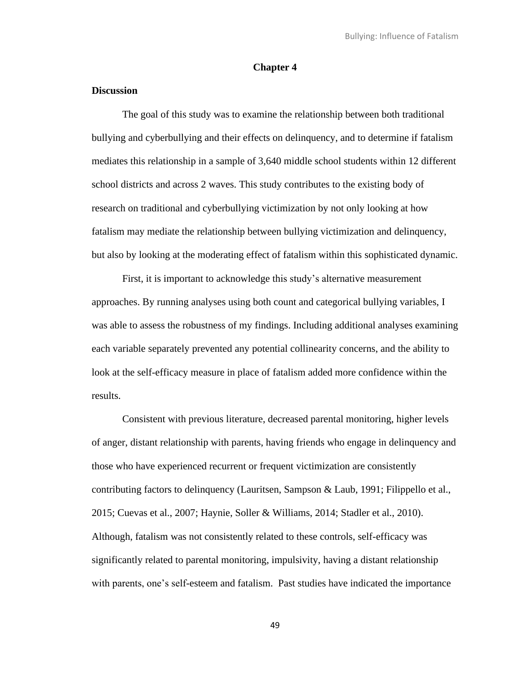# **Chapter 4**

# **Discussion**

The goal of this study was to examine the relationship between both traditional bullying and cyberbullying and their effects on delinquency, and to determine if fatalism mediates this relationship in a sample of 3,640 middle school students within 12 different school districts and across 2 waves. This study contributes to the existing body of research on traditional and cyberbullying victimization by not only looking at how fatalism may mediate the relationship between bullying victimization and delinquency, but also by looking at the moderating effect of fatalism within this sophisticated dynamic.

First, it is important to acknowledge this study's alternative measurement approaches. By running analyses using both count and categorical bullying variables, I was able to assess the robustness of my findings. Including additional analyses examining each variable separately prevented any potential collinearity concerns, and the ability to look at the self-efficacy measure in place of fatalism added more confidence within the results.

Consistent with previous literature, decreased parental monitoring, higher levels of anger, distant relationship with parents, having friends who engage in delinquency and those who have experienced recurrent or frequent victimization are consistently contributing factors to delinquency (Lauritsen, Sampson & Laub, 1991; Filippello et al., 2015; Cuevas et al., 2007; Haynie, Soller & Williams, 2014; Stadler et al., 2010). Although, fatalism was not consistently related to these controls, self-efficacy was significantly related to parental monitoring, impulsivity, having a distant relationship with parents, one's self-esteem and fatalism. Past studies have indicated the importance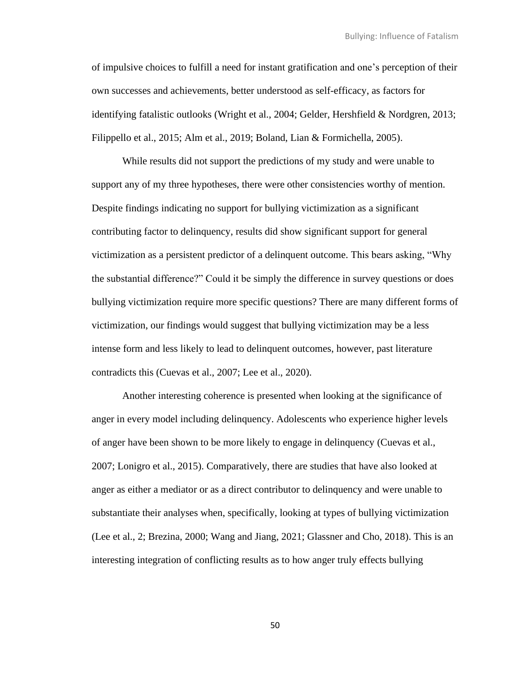of impulsive choices to fulfill a need for instant gratification and one's perception of their own successes and achievements, better understood as self-efficacy, as factors for identifying fatalistic outlooks (Wright et al., 2004; Gelder, Hershfield & Nordgren, 2013; Filippello et al., 2015; Alm et al., 2019; Boland, Lian & Formichella, 2005).

While results did not support the predictions of my study and were unable to support any of my three hypotheses, there were other consistencies worthy of mention. Despite findings indicating no support for bullying victimization as a significant contributing factor to delinquency, results did show significant support for general victimization as a persistent predictor of a delinquent outcome. This bears asking, "Why the substantial difference?" Could it be simply the difference in survey questions or does bullying victimization require more specific questions? There are many different forms of victimization, our findings would suggest that bullying victimization may be a less intense form and less likely to lead to delinquent outcomes, however, past literature contradicts this (Cuevas et al., 2007; Lee et al., 2020).

Another interesting coherence is presented when looking at the significance of anger in every model including delinquency. Adolescents who experience higher levels of anger have been shown to be more likely to engage in delinquency (Cuevas et al., 2007; Lonigro et al., 2015). Comparatively, there are studies that have also looked at anger as either a mediator or as a direct contributor to delinquency and were unable to substantiate their analyses when, specifically, looking at types of bullying victimization (Lee et al., 2; Brezina, 2000; Wang and Jiang, 2021; Glassner and Cho, 2018). This is an interesting integration of conflicting results as to how anger truly effects bullying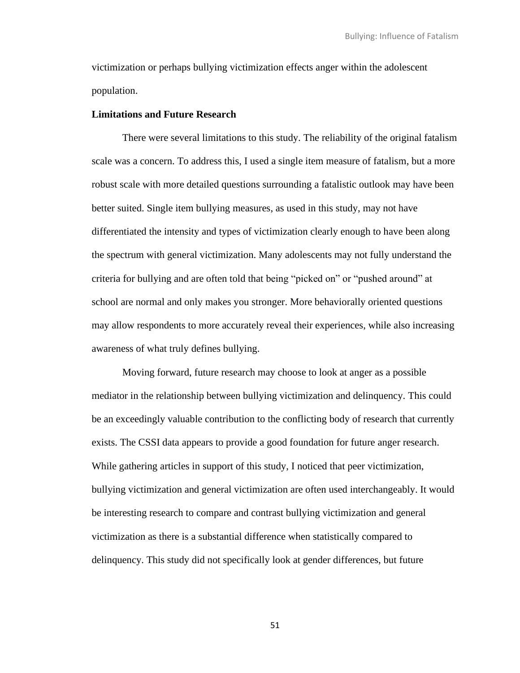victimization or perhaps bullying victimization effects anger within the adolescent population.

### **Limitations and Future Research**

There were several limitations to this study. The reliability of the original fatalism scale was a concern. To address this, I used a single item measure of fatalism, but a more robust scale with more detailed questions surrounding a fatalistic outlook may have been better suited. Single item bullying measures, as used in this study, may not have differentiated the intensity and types of victimization clearly enough to have been along the spectrum with general victimization. Many adolescents may not fully understand the criteria for bullying and are often told that being "picked on" or "pushed around" at school are normal and only makes you stronger. More behaviorally oriented questions may allow respondents to more accurately reveal their experiences, while also increasing awareness of what truly defines bullying.

Moving forward, future research may choose to look at anger as a possible mediator in the relationship between bullying victimization and delinquency. This could be an exceedingly valuable contribution to the conflicting body of research that currently exists. The CSSI data appears to provide a good foundation for future anger research. While gathering articles in support of this study, I noticed that peer victimization, bullying victimization and general victimization are often used interchangeably. It would be interesting research to compare and contrast bullying victimization and general victimization as there is a substantial difference when statistically compared to delinquency. This study did not specifically look at gender differences, but future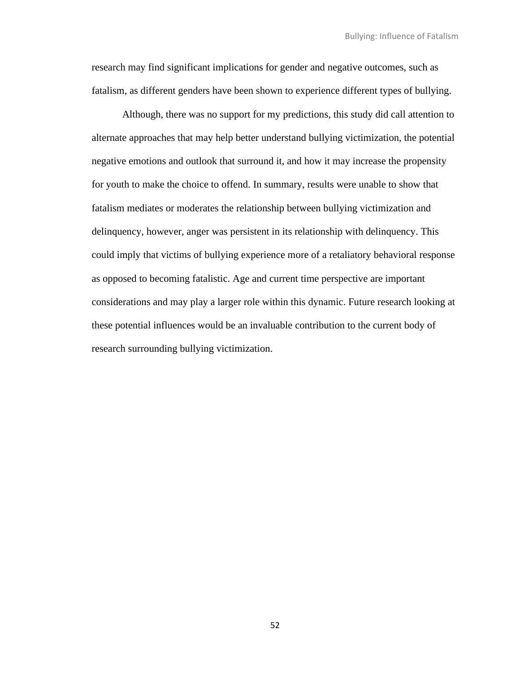research may find significant implications for gender and negative outcomes, such as fatalism, as different genders have been shown to experience different types of bullying.

Although, there was no support for my predictions, this study did call attention to alternate approaches that may help better understand bullying victimization, the potential negative emotions and outlook that surround it, and how it may increase the propensity for youth to make the choice to offend. In summary, results were unable to show that fatalism mediates or moderates the relationship between bullying victimization and delinquency, however, anger was persistent in its relationship with delinquency. This could imply that victims of bullying experience more of a retaliatory behavioral response as opposed to becoming fatalistic. Age and current time perspective are important considerations and may play a larger role within this dynamic. Future research looking at these potential influences would be an invaluable contribution to the current body of research surrounding bullying victimization.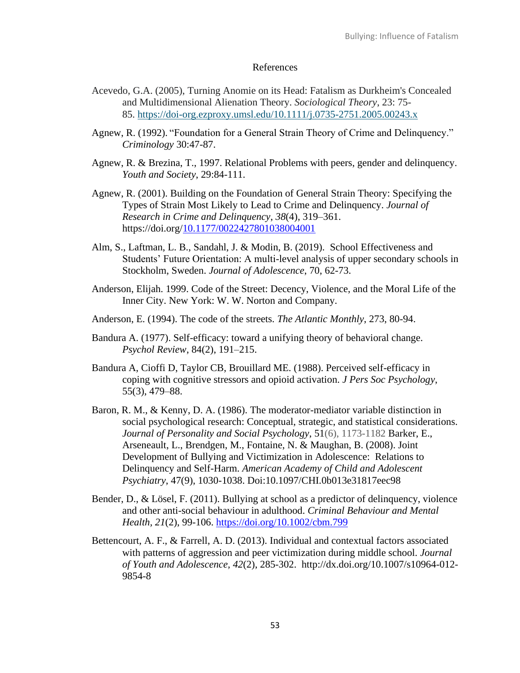## References

- Acevedo, G.A. (2005), Turning Anomie on its Head: Fatalism as Durkheim's Concealed and Multidimensional Alienation Theory. *Sociological Theory*, 23: 75- 85. <https://doi-org.ezproxy.umsl.edu/10.1111/j.0735-2751.2005.00243.x>
- Agnew, R. (1992). "Foundation for a General Strain Theory of Crime and Delinquency." *Criminology* 30:47-87.
- Agnew, R. & Brezina, T., 1997. Relational Problems with peers, gender and delinquency. *Youth and Society*, 29:84-111.
- Agnew, R. (2001). Building on the Foundation of General Strain Theory: Specifying the Types of Strain Most Likely to Lead to Crime and Delinquency. *Journal of Research in Crime and Delinquency*, *38*(4), 319–361. https://doi.org[/10.1177/0022427801038004001](https://doi-org.ezproxy.umsl.edu/10.1177/0022427801038004001)
- Alm, S., Laftman, L. B., Sandahl, J. & Modin, B. (2019). School Effectiveness and Students' Future Orientation: A multi-level analysis of upper secondary schools in Stockholm, Sweden. *Journal of Adolescence*, 70, 62-73.
- Anderson, Elijah. 1999. Code of the Street: Decency, Violence, and the Moral Life of the Inner City. New York: W. W. Norton and Company.
- Anderson, E. (1994). The code of the streets. *The Atlantic Monthly*, 273, 80-94.
- Bandura A. (1977). Self-efficacy: toward a unifying theory of behavioral change. *Psychol Review*, 84(2), 191–215.
- Bandura A, Cioffi D, Taylor CB, Brouillard ME. (1988). Perceived self-efficacy in coping with cognitive stressors and opioid activation. *J Pers Soc Psychology*, 55(3), 479–88.
- Baron, R. M., & Kenny, D. A. (1986). The moderator-mediator variable distinction in social psychological research: Conceptual, strategic, and statistical considerations. *Journal of Personality and Social Psychology*, 51(6), 1173-1182 Barker, E., Arseneault, L., Brendgen, M., Fontaine, N. & Maughan, B. (2008). Joint Development of Bullying and Victimization in Adolescence: Relations to Delinquency and Self-Harm. *American Academy of Child and Adolescent Psychiatry*, 47(9), 1030-1038. Doi:10.1097/CHI.0b013e31817eec98
- Bender, D., & Lösel, F. (2011). Bullying at school as a predictor of delinquency, violence and other anti-social behaviour in adulthood. *Criminal Behaviour and Mental Health, 21*(2), 99-106.<https://doi.org/10.1002/cbm.799>
- Bettencourt, A. F., & Farrell, A. D. (2013). Individual and contextual factors associated with patterns of aggression and peer victimization during middle school. *Journal of Youth and Adolescence, 42*(2), 285-302. http://dx.doi.org/10.1007/s10964-012- 9854-8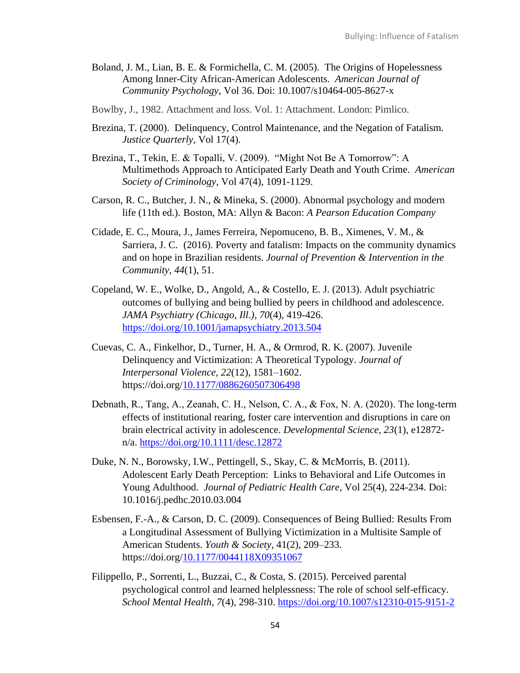- Boland, J. M., Lian, B. E. & Formichella, C. M. (2005). The Origins of Hopelessness Among Inner-City African-American Adolescents. *American Journal of Community Psychology*, Vol 36. Doi: 10.1007/s10464-005-8627-x
- Bowlby, J., 1982. Attachment and loss. Vol. 1: Attachment. London: Pimlico.
- Brezina, T. (2000). Delinquency, Control Maintenance, and the Negation of Fatalism*. Justice Quarterly*, Vol 17(4).
- Brezina, T., Tekin, E. & Topalli, V. (2009). "Might Not Be A Tomorrow": A Multimethods Approach to Anticipated Early Death and Youth Crime. *American Society of Criminology*, Vol 47(4), 1091-1129.
- Carson, R. C., Butcher, J. N., & Mineka, S. (2000). Abnormal psychology and modern life (11th ed.). Boston, MA: Allyn & Bacon: *A Pearson Education Company*
- Cidade, E. C., Moura, J., James Ferreira, Nepomuceno, B. B., Ximenes, V. M., & Sarriera, J. C. (2016). Poverty and fatalism: Impacts on the community dynamics and on hope in Brazilian residents. *Journal of Prevention & Intervention in the Community, 44*(1), 51.
- Copeland, W. E., Wolke, D., Angold, A., & Costello, E. J. (2013). Adult psychiatric outcomes of bullying and being bullied by peers in childhood and adolescence. *JAMA Psychiatry (Chicago, Ill.), 70*(4), 419-426. <https://doi.org/10.1001/jamapsychiatry.2013.504>
- Cuevas, C. A., Finkelhor, D., Turner, H. A., & Ormrod, R. K. (2007). Juvenile Delinquency and Victimization: A Theoretical Typology. *Journal of Interpersonal Violence*, *22*(12), 1581–1602. https://doi.org[/10.1177/0886260507306498](https://doi-org.ezproxy.umsl.edu/10.1177/0886260507306498)
- Debnath, R., Tang, A., Zeanah, C. H., Nelson, C. A., & Fox, N. A. (2020). The long-term effects of institutional rearing, foster care intervention and disruptions in care on brain electrical activity in adolescence. *Developmental Science, 23*(1), e12872 n/a.<https://doi.org/10.1111/desc.12872>
- Duke, N. N., Borowsky, I.W., Pettingell, S., Skay, C. & McMorris, B. (2011). Adolescent Early Death Perception: Links to Behavioral and Life Outcomes in Young Adulthood. *Journal of Pediatric Health Care*, Vol 25(4), 224-234. Doi: 10.1016/j.pedhc.2010.03.004
- Esbensen, F.-A., & Carson, D. C. (2009). Consequences of Being Bullied: Results From a Longitudinal Assessment of Bullying Victimization in a Multisite Sample of American Students. *Youth & Society*, 41(2), 209–233. https://doi.org[/10.1177/0044118X09351067](https://doi-org.ezproxy.umsl.edu/10.1177/0044118X09351067)
- Filippello, P., Sorrenti, L., Buzzai, C., & Costa, S. (2015). Perceived parental psychological control and learned helplessness: The role of school self-efficacy. *School Mental Health, 7*(4), 298-310.<https://doi.org/10.1007/s12310-015-9151-2>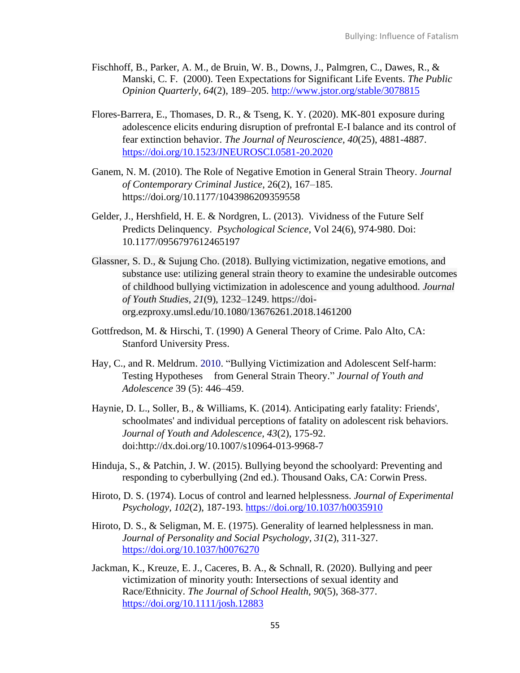- Fischhoff, B., Parker, A. M., de Bruin, W. B., Downs, J., Palmgren, C., Dawes, R., & Manski, C. F. (2000). Teen Expectations for Significant Life Events. *The Public Opinion Quarterly*, *64*(2), 189–205. <http://www.jstor.org/stable/3078815>
- Flores-Barrera, E., Thomases, D. R., & Tseng, K. Y. (2020). MK-801 exposure during adolescence elicits enduring disruption of prefrontal E-I balance and its control of fear extinction behavior. *The Journal of Neuroscience, 40*(25), 4881-4887. <https://doi.org/10.1523/JNEUROSCI.0581-20.2020>
- Ganem, N. M. (2010). The Role of Negative Emotion in General Strain Theory. *Journal of Contemporary Criminal Justice*, 26(2), 167–185. https://doi.org/10.1177/1043986209359558
- Gelder, J., Hershfield, H. E. & Nordgren, L. (2013). Vividness of the Future Self Predicts Delinquency. *Psychological Science*, Vol 24(6), 974-980. Doi: 10.1177/0956797612465197
- Glassner, S. D., & Sujung Cho. (2018). Bullying victimization, negative emotions, and substance use: utilizing general strain theory to examine the undesirable outcomes of childhood bullying victimization in adolescence and young adulthood. *Journal of Youth Studies*, *21*(9), 1232–1249. https://doiorg.ezproxy.umsl.edu/10.1080/13676261.2018.1461200
- Gottfredson, M. & Hirschi, T. (1990) A General Theory of Crime. Palo Alto, CA: Stanford University Press.
- Hay, C., and R. Meldrum. 2010. "Bullying Victimization and Adolescent Self-harm: Testing Hypotheses from General Strain Theory." *Journal of Youth and Adolescence* 39 (5): 446–459.
- Haynie, D. L., Soller, B., & Williams, K. (2014). Anticipating early fatality: Friends', schoolmates' and individual perceptions of fatality on adolescent risk behaviors. *Journal of Youth and Adolescence, 43*(2), 175-92. doi:http://dx.doi.org/10.1007/s10964-013-9968-7
- Hinduja, S., & Patchin, J. W. (2015). Bullying beyond the schoolyard: Preventing and responding to cyberbullying (2nd ed.). Thousand Oaks, CA: Corwin Press.
- Hiroto, D. S. (1974). Locus of control and learned helplessness. *Journal of Experimental Psychology, 102*(2), 187-193.<https://doi.org/10.1037/h0035910>
- Hiroto, D. S., & Seligman, M. E. (1975). Generality of learned helplessness in man. *Journal of Personality and Social Psychology, 31*(2), 311-327. <https://doi.org/10.1037/h0076270>
- Jackman, K., Kreuze, E. J., Caceres, B. A., & Schnall, R. (2020). Bullying and peer victimization of minority youth: Intersections of sexual identity and Race/Ethnicity. *The Journal of School Health, 90*(5), 368-377. <https://doi.org/10.1111/josh.12883>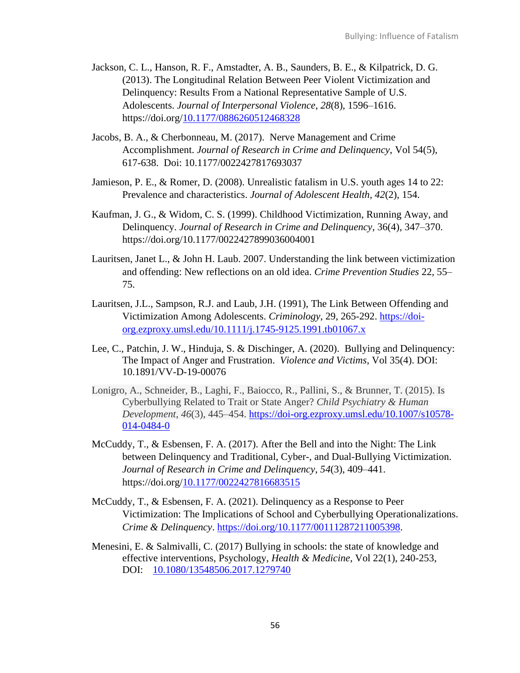- Jackson, C. L., Hanson, R. F., Amstadter, A. B., Saunders, B. E., & Kilpatrick, D. G. (2013). The Longitudinal Relation Between Peer Violent Victimization and Delinquency: Results From a National Representative Sample of U.S. Adolescents. *Journal of Interpersonal Violence*, *28*(8), 1596–1616. https://doi.org[/10.1177/0886260512468328](https://doi-org.ezproxy.umsl.edu/10.1177/0886260512468328)
- Jacobs, B. A., & Cherbonneau, M. (2017). Nerve Management and Crime Accomplishment. *Journal of Research in Crime and Delinquency*, Vol 54(5), 617-638. Doi: 10.1177/0022427817693037
- Jamieson, P. E., & Romer, D. (2008). Unrealistic fatalism in U.S. youth ages 14 to 22: Prevalence and characteristics. *Journal of Adolescent Health, 42*(2), 154.
- Kaufman, J. G., & Widom, C. S. (1999). Childhood Victimization, Running Away, and Delinquency. *Journal of Research in Crime and Delinquency*, 36(4), 347–370. https://doi.org/10.1177/0022427899036004001
- Lauritsen, Janet L., & John H. Laub. 2007. Understanding the link between victimization and offending: New reflections on an old idea. *Crime Prevention Studies* 22, 55– 75.
- Lauritsen, J.L., Sampson, R.J. and Laub, J.H. (1991), The Link Between Offending and Victimization Among Adolescents. *Criminology*, 29, 265-292. [https://doi](https://doi-org.ezproxy.umsl.edu/10.1111/j.1745-9125.1991.tb01067.x)[org.ezproxy.umsl.edu/10.1111/j.1745-9125.1991.tb01067.x](https://doi-org.ezproxy.umsl.edu/10.1111/j.1745-9125.1991.tb01067.x)
- Lee, C., Patchin, J. W., Hinduja, S. & Dischinger, A. (2020). Bullying and Delinquency: The Impact of Anger and Frustration. *Violence and Victims*, Vol 35(4). DOI: 10.1891/VV-D-19-00076
- Lonigro, A., Schneider, B., Laghi, F., Baiocco, R., Pallini, S., & Brunner, T. (2015). Is Cyberbullying Related to Trait or State Anger? *Child Psychiatry & Human Development*, *46*(3), 445–454. [https://doi-org.ezproxy.umsl.edu/10.1007/s10578-](https://doi-org.ezproxy.umsl.edu/10.1007/s10578-014-0484-0) [014-0484-0](https://doi-org.ezproxy.umsl.edu/10.1007/s10578-014-0484-0)
- McCuddy, T., & Esbensen, F. A. (2017). After the Bell and into the Night: The Link between Delinquency and Traditional, Cyber-, and Dual-Bullying Victimization. *Journal of Research in Crime and Delinquency*, *54*(3), 409–441. https://doi.org[/10.1177/0022427816683515](https://doi-org.ezproxy.umsl.edu/10.1177/0022427816683515)
- McCuddy, T., & Esbensen, F. A. (2021). Delinquency as a Response to Peer Victimization: The Implications of School and Cyberbullying Operationalizations. *Crime & Delinquency*. [https://doi.org/10.1177/00111287211005398.](https://nam02.safelinks.protection.outlook.com/?url=https%3A%2F%2Fdoi.org%2F10.1177%2F00111287211005398&data=04%7C01%7Ctds91d%40mail.umsl.edu%7Cbd75c84b88fe4f17e25508d9cec25d75%7Ce3fefdbef7e9401ba51a355e01b05a89%7C0%7C0%7C637768156639653305%7CUnknown%7CTWFpbGZsb3d8eyJWIjoiMC4wLjAwMDAiLCJQIjoiV2luMzIiLCJBTiI6Ik1haWwiLCJXVCI6Mn0%3D%7C3000&sdata=s3ua7Ky0DZWj3rJMPBXHjniCjw8Sp6L4gpCcAJvN6cw%3D&reserved=0)
- Menesini, E. & Salmivalli, C. (2017) Bullying in schools: the state of knowledge and effective interventions, Psychology, *Health & Medicine*, Vol 22(1), 240-253, DOI: [10.1080/13548506.2017.1279740](https://doi.org/10.1080/13548506.2017.1279740)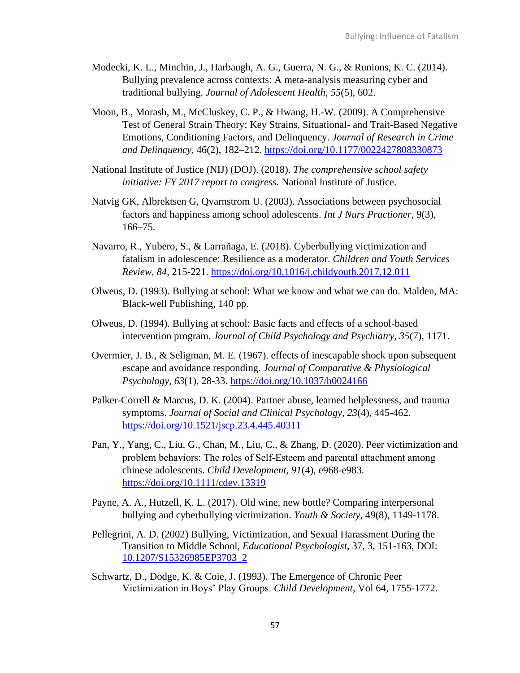- Modecki, K. L., Minchin, J., Harbaugh, A. G., Guerra, N. G., & Runions, K. C. (2014). Bullying prevalence across contexts: A meta-analysis measuring cyber and traditional bullying. *Journal of Adolescent Health, 55*(5), 602.
- Moon, B., Morash, M., McCluskey, C. P., & Hwang, H.-W. (2009). A Comprehensive Test of General Strain Theory: Key Strains, Situational- and Trait-Based Negative Emotions, Conditioning Factors, and Delinquency. *Journal of Research in Crime and Delinquency*, 46(2), 182–212.<https://doi.org/10.1177/0022427808330873>
- National Institute of Justice (NIJ) (DOJ). (2018). *The comprehensive school safety initiative: FY 2017 report to congress.* National Institute of Justice.
- Natvig GK, Albrektsen G, Qvarnstrom U. (2003). Associations between psychosocial factors and happiness among school adolescents. *Int J Nurs Practioner*, 9(3), 166–75.
- Navarro, R., Yubero, S., & Larrañaga, E. (2018). Cyberbullying victimization and fatalism in adolescence: Resilience as a moderator. *Children and Youth Services Review, 84*, 215-221.<https://doi.org/10.1016/j.childyouth.2017.12.011>
- Olweus, D. (1993). Bullying at school: What we know and what we can do. Malden, MA: Black-well Publishing, 140 pp.
- Olweus, D. (1994). Bullying at school: Basic facts and effects of a school-based intervention program. *Journal of Child Psychology and Psychiatry, 35*(7), 1171.
- Overmier, J. B., & Seligman, M. E. (1967). effects of inescapable shock upon subsequent escape and avoidance responding. *Journal of Comparative & Physiological Psychology, 63*(1), 28-33.<https://doi.org/10.1037/h0024166>
- Palker-Correll & Marcus, D. K. (2004). Partner abuse, learned helplessness, and trauma symptoms. *Journal of Social and Clinical Psychology, 23*(4), 445-462. <https://doi.org/10.1521/jscp.23.4.445.40311>
- Pan, Y., Yang, C., Liu, G., Chan, M., Liu, C., & Zhang, D. (2020). Peer victimization and problem behaviors: The roles of Self‐Esteem and parental attachment among chinese adolescents. *Child Development, 91*(4), e968-e983. <https://doi.org/10.1111/cdev.13319>
- Payne, A. A., Hutzell, K. L. (2017). Old wine, new bottle? Comparing interpersonal bullying and cyberbullying victimization. *Youth & Society*, 49(8), 1149-1178.
- Pellegrini, A. D. (2002) Bullying, Victimization, and Sexual Harassment During the Transition to Middle School, *Educational Psychologist*, 37, 3, 151-163, DOI: [10.1207/S15326985EP3703\\_2](https://doi-org.ezproxy.umsl.edu/10.1207/S15326985EP3703_2)
- Schwartz, D., Dodge, K. & Coie, J. (1993). The Emergence of Chronic Peer Victimization in Boys' Play Groups. *Child Development*, Vol 64, 1755-1772.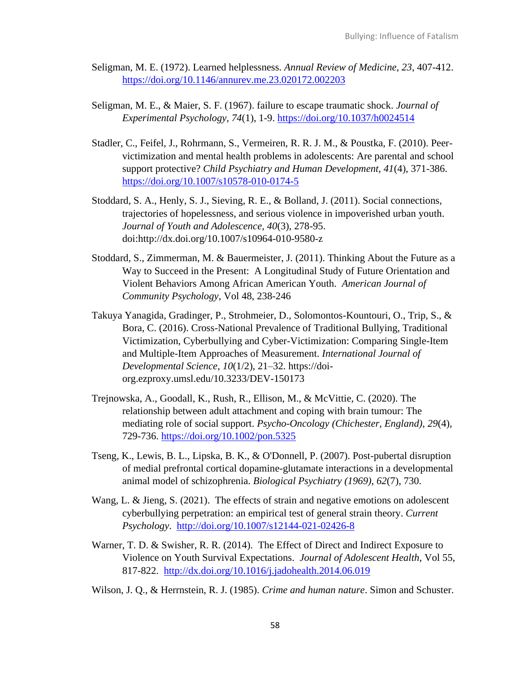- Seligman, M. E. (1972). Learned helplessness. *Annual Review of Medicine, 23*, 407-412. <https://doi.org/10.1146/annurev.me.23.020172.002203>
- Seligman, M. E., & Maier, S. F. (1967). failure to escape traumatic shock. *Journal of Experimental Psychology, 74*(1), 1-9.<https://doi.org/10.1037/h0024514>
- Stadler, C., Feifel, J., Rohrmann, S., Vermeiren, R. R. J. M., & Poustka, F. (2010). Peervictimization and mental health problems in adolescents: Are parental and school support protective? *Child Psychiatry and Human Development, 41*(4), 371-386. <https://doi.org/10.1007/s10578-010-0174-5>
- Stoddard, S. A., Henly, S. J., Sieving, R. E., & Bolland, J. (2011). Social connections, trajectories of hopelessness, and serious violence in impoverished urban youth. *Journal of Youth and Adolescence, 40*(3), 278-95. doi:http://dx.doi.org/10.1007/s10964-010-9580-z
- Stoddard, S., Zimmerman, M. & Bauermeister, J. (2011). Thinking About the Future as a Way to Succeed in the Present: A Longitudinal Study of Future Orientation and Violent Behaviors Among African American Youth. *American Journal of Community Psychology*, Vol 48, 238-246
- Takuya Yanagida, Gradinger, P., Strohmeier, D., Solomontos-Kountouri, O., Trip, S., & Bora, C. (2016). Cross-National Prevalence of Traditional Bullying, Traditional Victimization, Cyberbullying and Cyber-Victimization: Comparing Single-Item and Multiple-Item Approaches of Measurement. *International Journal of Developmental Science*, *10*(1/2), 21–32. https://doiorg.ezproxy.umsl.edu/10.3233/DEV-150173
- Trejnowska, A., Goodall, K., Rush, R., Ellison, M., & McVittie, C. (2020). The relationship between adult attachment and coping with brain tumour: The mediating role of social support. *Psycho-Oncology (Chichester, England), 29*(4), 729-736.<https://doi.org/10.1002/pon.5325>
- Tseng, K., Lewis, B. L., Lipska, B. K., & O'Donnell, P. (2007). Post-pubertal disruption of medial prefrontal cortical dopamine-glutamate interactions in a developmental animal model of schizophrenia. *Biological Psychiatry (1969), 62*(7), 730.
- Wang, L. & Jieng, S. (2021). The effects of strain and negative emotions on adolescent cyberbullying perpetration: an empirical test of general strain theory. *Current Psychology*. <http://doi.org/10.1007/s12144-021-02426-8>
- Warner, T. D. & Swisher, R. R. (2014). The Effect of Direct and Indirect Exposure to Violence on Youth Survival Expectations. *Journal of Adolescent Health*, Vol 55, 817-822. <http://dx.doi.org/10.1016/j.jadohealth.2014.06.019>
- Wilson, J. Q., & Herrnstein, R. J. (1985). *Crime and human nature*. Simon and Schuster.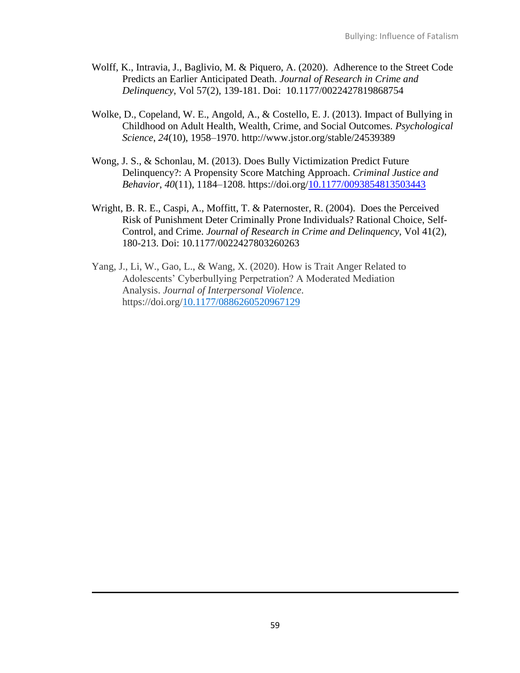- Wolff, K., Intravia, J., Baglivio, M. & Piquero, A. (2020). Adherence to the Street Code Predicts an Earlier Anticipated Death. *Journal of Research in Crime and Delinquency*, Vol 57(2), 139-181. Doi: 10.1177/0022427819868754
- Wolke, D., Copeland, W. E., Angold, A., & Costello, E. J. (2013). Impact of Bullying in Childhood on Adult Health, Wealth, Crime, and Social Outcomes. *Psychological Science*, *24*(10), 1958–1970. http://www.jstor.org/stable/24539389
- Wong, J. S., & Schonlau, M. (2013). Does Bully Victimization Predict Future Delinquency?: A Propensity Score Matching Approach. *Criminal Justice and Behavior*, *40*(11), 1184–1208. https://doi.org[/10.1177/0093854813503443](https://doi-org.ezproxy.umsl.edu/10.1177/0093854813503443)
- Wright, B. R. E., Caspi, A., Moffitt, T. & Paternoster, R. (2004). Does the Perceived Risk of Punishment Deter Criminally Prone Individuals? Rational Choice, Self-Control, and Crime. *Journal of Research in Crime and Delinquency*, Vol 41(2), 180-213. Doi: 10.1177/0022427803260263
- Yang, J., Li, W., Gao, L., & Wang, X. (2020). How is Trait Anger Related to Adolescents' Cyberbullying Perpetration? A Moderated Mediation Analysis. *Journal of Interpersonal Violence*. https://doi.org[/10.1177/0886260520967129](https://doi-org.ezproxy.umsl.edu/10.1177/0886260520967129)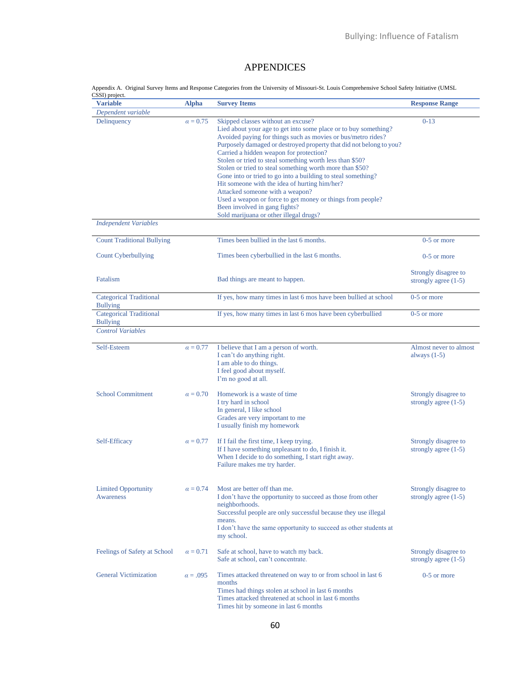# APPENDICES

Appendix A. Original Survey Items and Response Categories from the University of Missouri-St. Louis Comprehensive School Safety Initiative (UMSL CSSI) project.

| <b>Variable</b>                                   | <b>Alpha</b>    | <b>Survey Items</b>                                                                                                                                                                                                                                                                                                                                                                                                                                                                                                                                                                                                                                                                                          | <b>Response Range</b>                          |
|---------------------------------------------------|-----------------|--------------------------------------------------------------------------------------------------------------------------------------------------------------------------------------------------------------------------------------------------------------------------------------------------------------------------------------------------------------------------------------------------------------------------------------------------------------------------------------------------------------------------------------------------------------------------------------------------------------------------------------------------------------------------------------------------------------|------------------------------------------------|
| Dependent variable                                |                 |                                                                                                                                                                                                                                                                                                                                                                                                                                                                                                                                                                                                                                                                                                              |                                                |
| Delinquency                                       | $\alpha = 0.75$ | Skipped classes without an excuse?<br>Lied about your age to get into some place or to buy something?<br>Avoided paying for things such as movies or bus/metro rides?<br>Purposely damaged or destroyed property that did not belong to you?<br>Carried a hidden weapon for protection?<br>Stolen or tried to steal something worth less than \$50?<br>Stolen or tried to steal something worth more than \$50?<br>Gone into or tried to go into a building to steal something?<br>Hit someone with the idea of hurting him/her?<br>Attacked someone with a weapon?<br>Used a weapon or force to get money or things from people?<br>Been involved in gang fights?<br>Sold marijuana or other illegal drugs? | $0-13$                                         |
| <b>Independent Variables</b>                      |                 |                                                                                                                                                                                                                                                                                                                                                                                                                                                                                                                                                                                                                                                                                                              |                                                |
| <b>Count Traditional Bullying</b>                 |                 | Times been bullied in the last 6 months.                                                                                                                                                                                                                                                                                                                                                                                                                                                                                                                                                                                                                                                                     | $0-5$ or more                                  |
| <b>Count Cyberbullying</b>                        |                 | Times been cyberbullied in the last 6 months.                                                                                                                                                                                                                                                                                                                                                                                                                                                                                                                                                                                                                                                                | 0-5 or more                                    |
| Fatalism                                          |                 | Bad things are meant to happen.                                                                                                                                                                                                                                                                                                                                                                                                                                                                                                                                                                                                                                                                              | Strongly disagree to<br>strongly agree $(1-5)$ |
| <b>Categorical Traditional</b><br><b>Bullying</b> |                 | If yes, how many times in last 6 mos have been bullied at school                                                                                                                                                                                                                                                                                                                                                                                                                                                                                                                                                                                                                                             | $0-5$ or more                                  |
| <b>Categorical Traditional</b><br><b>Bullying</b> |                 | If yes, how many times in last 6 mos have been cyberbullied                                                                                                                                                                                                                                                                                                                                                                                                                                                                                                                                                                                                                                                  | $0-5$ or more                                  |
| <b>Control Variables</b>                          |                 |                                                                                                                                                                                                                                                                                                                                                                                                                                                                                                                                                                                                                                                                                                              |                                                |
| Self-Esteem                                       | $\alpha = 0.77$ | I believe that I am a person of worth.<br>I can't do anything right.<br>I am able to do things.<br>I feel good about myself.<br>I'm no good at all.                                                                                                                                                                                                                                                                                                                                                                                                                                                                                                                                                          | Almost never to almost<br>always $(1-5)$       |
| <b>School Commitment</b>                          | $\alpha = 0.70$ | Homework is a waste of time<br>I try hard in school<br>In general, I like school<br>Grades are very important to me<br>I usually finish my homework                                                                                                                                                                                                                                                                                                                                                                                                                                                                                                                                                          | Strongly disagree to<br>strongly agree $(1-5)$ |
| Self-Efficacy                                     | $\alpha = 0.77$ | If I fail the first time, I keep trying.<br>If I have something unpleasant to do, I finish it.<br>When I decide to do something, I start right away.<br>Failure makes me try harder.                                                                                                                                                                                                                                                                                                                                                                                                                                                                                                                         | Strongly disagree to<br>strongly agree $(1-5)$ |
| <b>Limited Opportunity</b><br>Awareness           | $\alpha = 0.74$ | Most are better off than me.<br>I don't have the opportunity to succeed as those from other<br>neighborhoods.<br>Successful people are only successful because they use illegal<br>means.<br>I don't have the same opportunity to succeed as other students at<br>my school.                                                                                                                                                                                                                                                                                                                                                                                                                                 | Strongly disagree to<br>strongly agree $(1-5)$ |
| Feelings of Safety at School                      | $\alpha = 0.71$ | Safe at school, have to watch my back.<br>Safe at school, can't concentrate.                                                                                                                                                                                                                                                                                                                                                                                                                                                                                                                                                                                                                                 | Strongly disagree to<br>strongly agree $(1-5)$ |
| <b>General Victimization</b>                      | $\alpha = .095$ | Times attacked threatened on way to or from school in last 6<br>months<br>Times had things stolen at school in last 6 months<br>Times attacked threatened at school in last 6 months<br>Times hit by someone in last 6 months                                                                                                                                                                                                                                                                                                                                                                                                                                                                                | $0-5$ or more                                  |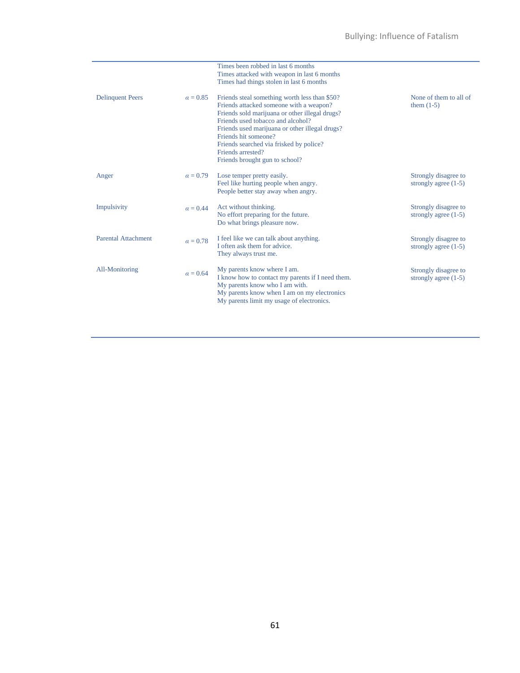|                            |                 | Times been robbed in last 6 months<br>Times attacked with weapon in last 6 months<br>Times had things stolen in last 6 months                                                                                                                                                                                                                               |                                                |
|----------------------------|-----------------|-------------------------------------------------------------------------------------------------------------------------------------------------------------------------------------------------------------------------------------------------------------------------------------------------------------------------------------------------------------|------------------------------------------------|
| <b>Delinquent Peers</b>    | $\alpha = 0.85$ | Friends steal something worth less than \$50?<br>Friends attacked someone with a weapon?<br>Friends sold marijuana or other illegal drugs?<br>Friends used tobacco and alcohol?<br>Friends used marijuana or other illegal drugs?<br>Friends hit someone?<br>Friends searched via frisked by police?<br>Friends arrested?<br>Friends brought gun to school? | None of them to all of<br>them $(1-5)$         |
| Anger                      | $\alpha = 0.79$ | Lose temper pretty easily.<br>Feel like hurting people when angry.<br>People better stay away when angry.                                                                                                                                                                                                                                                   | Strongly disagree to<br>strongly agree $(1-5)$ |
| Impulsivity                | $\alpha = 0.44$ | Act without thinking.<br>No effort preparing for the future.<br>Do what brings pleasure now.                                                                                                                                                                                                                                                                | Strongly disagree to<br>strongly agree $(1-5)$ |
| <b>Parental Attachment</b> | $\alpha = 0.78$ | I feel like we can talk about anything.<br>I often ask them for advice.<br>They always trust me.                                                                                                                                                                                                                                                            | Strongly disagree to<br>strongly agree $(1-5)$ |
| All-Monitoring             | $\alpha = 0.64$ | My parents know where I am.<br>I know how to contact my parents if I need them.<br>My parents know who I am with.<br>My parents know when I am on my electronics<br>My parents limit my usage of electronics.                                                                                                                                               | Strongly disagree to<br>strongly agree $(1-5)$ |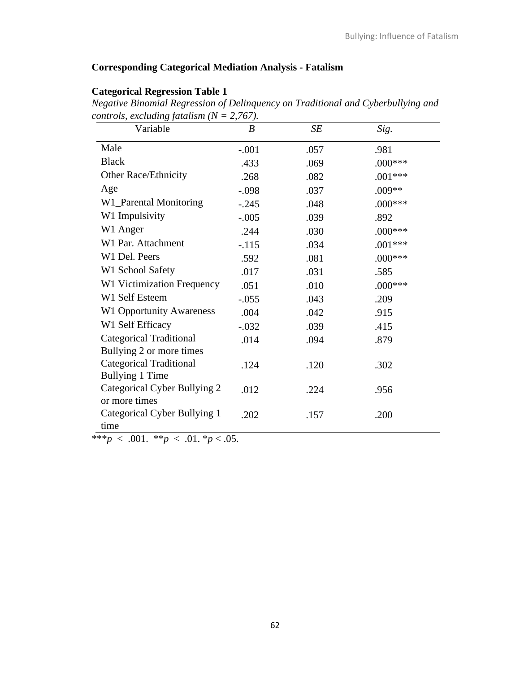# **Corresponding Categorical Mediation Analysis - Fatalism**

# **Categorical Regression Table 1**

*Negative Binomial Regression of Delinquency on Traditional and Cyberbullying and controls, excluding fatalism (N = 2,767).* 

| $\circ$ $\circ$<br>Variable     | $\boldsymbol{B}$ | SE   | Sig.      |  |
|---------------------------------|------------------|------|-----------|--|
| Male                            | $-.001$          | .057 | .981      |  |
| <b>Black</b>                    | .433             | .069 | $.000***$ |  |
| Other Race/Ethnicity            | .268             | .082 | $.001***$ |  |
| Age                             | $-.098$          | .037 | $.009**$  |  |
| W1_Parental Monitoring          | $-.245$          | .048 | $.000***$ |  |
| W1 Impulsivity                  | $-.005$          | .039 | .892      |  |
| W1 Anger                        | .244             | .030 | $.000***$ |  |
| W1 Par. Attachment              | $-.115$          | .034 | $.001***$ |  |
| W1 Del. Peers                   | .592             | .081 | $.000***$ |  |
| W1 School Safety                | .017             | .031 | .585      |  |
| W1 Victimization Frequency      | .051             | .010 | $.000***$ |  |
| W1 Self Esteem                  | $-.055$          | .043 | .209      |  |
| <b>W1 Opportunity Awareness</b> | .004             | .042 | .915      |  |
| W1 Self Efficacy                | $-.032$          | .039 | .415      |  |
| <b>Categorical Traditional</b>  | .014             | .094 | .879      |  |
| Bullying 2 or more times        |                  |      |           |  |
| <b>Categorical Traditional</b>  | .124             | .120 | .302      |  |
| <b>Bullying 1 Time</b>          |                  |      |           |  |
| Categorical Cyber Bullying 2    | .012             | .224 | .956      |  |
| or more times                   |                  |      |           |  |
| Categorical Cyber Bullying 1    | .202             | .157 | .200      |  |
| time                            |                  |      |           |  |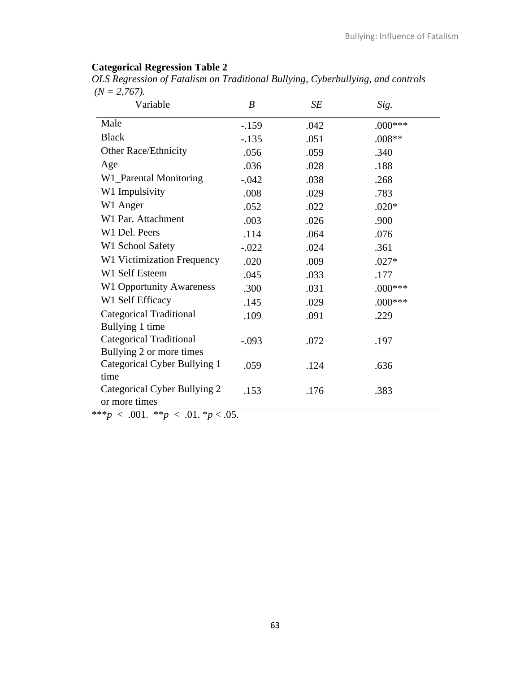# **Categorical Regression Table 2**

*OLS Regression of Fatalism on Traditional Bullying, Cyberbullying, and controls*  $(N = 2.767)$ .

| Variable                        | $\boldsymbol{B}$ | SE   | Sig.       |
|---------------------------------|------------------|------|------------|
| Male                            | $-159$           | .042 | $.000$ *** |
| <b>Black</b>                    | $-.135$          | .051 | $.008**$   |
| <b>Other Race/Ethnicity</b>     | .056             | .059 | .340       |
| Age                             | .036             | .028 | .188       |
| W1_Parental Monitoring          | $-.042$          | .038 | .268       |
| W1 Impulsivity                  | .008             | .029 | .783       |
| W1 Anger                        | .052             | .022 | $.020*$    |
| W1 Par. Attachment              | .003             | .026 | .900       |
| W1 Del. Peers                   | .114             | .064 | .076       |
| W1 School Safety                | $-.022$          | .024 | .361       |
| W1 Victimization Frequency      | .020             | .009 | $.027*$    |
| W1 Self Esteem                  | .045             | .033 | .177       |
| <b>W1 Opportunity Awareness</b> | .300             | .031 | $.000***$  |
| W1 Self Efficacy                | .145             | .029 | $.000***$  |
| <b>Categorical Traditional</b>  | .109             | .091 | .229       |
| Bullying 1 time                 |                  |      |            |
| <b>Categorical Traditional</b>  | $-.093$          | .072 | .197       |
| Bullying 2 or more times        |                  |      |            |
| Categorical Cyber Bullying 1    | .059             | .124 | .636       |
| time                            |                  |      |            |
| Categorical Cyber Bullying 2    | .153             | .176 | .383       |
| or more times                   |                  |      |            |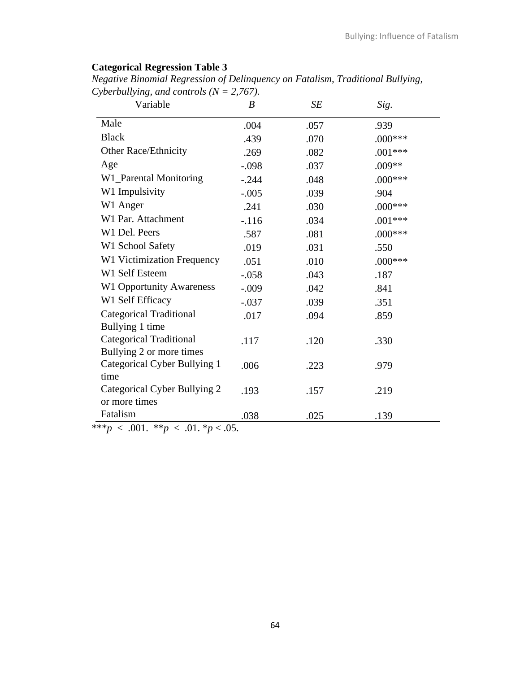# **Categorical Regression Table 3**

*Negative Binomial Regression of Delinquency on Fatalism, Traditional Bullying, Cyberbullying, and controls (N = 2,767).* 

| Variable                        | $\boldsymbol{B}$ | SE   | Sig.      |
|---------------------------------|------------------|------|-----------|
| Male                            | .004             | .057 | .939      |
| <b>Black</b>                    | .439             | .070 | $.000***$ |
| <b>Other Race/Ethnicity</b>     | .269             | .082 | $.001***$ |
| Age                             | $-.098$          | .037 | .009**    |
| W1_Parental Monitoring          | $-.244$          | .048 | $.000***$ |
| W1 Impulsivity                  | $-.005$          | .039 | .904      |
| W1 Anger                        | .241             | .030 | $.000***$ |
| W1 Par. Attachment              | $-.116$          | .034 | $.001***$ |
| W1 Del. Peers                   | .587             | .081 | $.000***$ |
| W1 School Safety                | .019             | .031 | .550      |
| W1 Victimization Frequency      | .051             | .010 | $.000***$ |
| W1 Self Esteem                  | $-.058$          | .043 | .187      |
| <b>W1 Opportunity Awareness</b> | $-.009$          | .042 | .841      |
| W1 Self Efficacy                | $-.037$          | .039 | .351      |
| <b>Categorical Traditional</b>  | .017             | .094 | .859      |
| Bullying 1 time                 |                  |      |           |
| <b>Categorical Traditional</b>  | .117             | .120 | .330      |
| Bullying 2 or more times        |                  |      |           |
| Categorical Cyber Bullying 1    | .006             | .223 | .979      |
| time                            |                  |      |           |
| Categorical Cyber Bullying 2    | .193             | .157 | .219      |
| or more times                   |                  |      |           |
| Fatalism                        | .038             | .025 | .139      |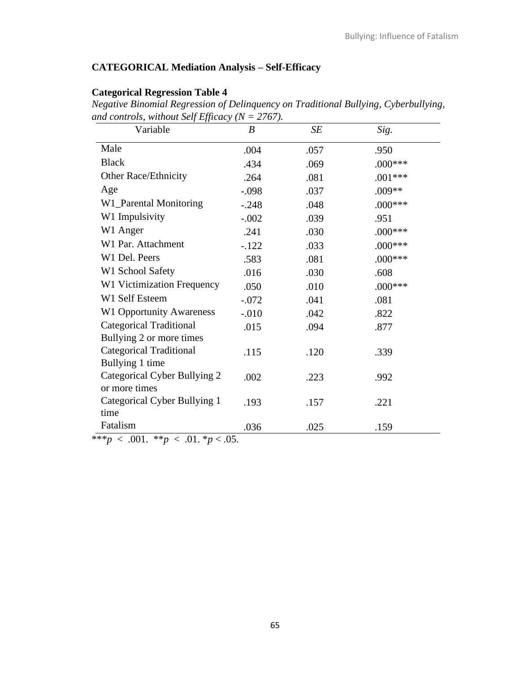# **CATEGORICAL Mediation Analysis – Self-Efficacy**

# **Categorical Regression Table 4** *Negative Binomial Regression of Delinquency on Traditional Bullying, Cyberbullying, and controls, without Self Efficacy (N = 2767).*

| Variable                        | $\boldsymbol{B}$ | SE   | Sig.      |
|---------------------------------|------------------|------|-----------|
| Male                            | .004             | .057 | .950      |
| <b>Black</b>                    | .434             | .069 | $.000***$ |
| Other Race/Ethnicity            | .264             | .081 | $.001***$ |
| Age                             | $-.098$          | .037 | .009**    |
| W1_Parental Monitoring          | $-.248$          | .048 | $.000***$ |
| W1 Impulsivity                  | $-.002$          | .039 | .951      |
| W1 Anger                        | .241             | .030 | $.000***$ |
| W1 Par. Attachment              | $-122$           | .033 | $.000***$ |
| W1 Del. Peers                   | .583             | .081 | $.000***$ |
| W1 School Safety                | .016             | .030 | .608      |
| W1 Victimization Frequency      | .050             | .010 | $.000***$ |
| W1 Self Esteem                  | $-.072$          | .041 | .081      |
| <b>W1 Opportunity Awareness</b> | $-.010$          | .042 | .822      |
| <b>Categorical Traditional</b>  | .015             | .094 | .877      |
| Bullying 2 or more times        |                  |      |           |
| <b>Categorical Traditional</b>  | .115             | .120 | .339      |
| Bullying 1 time                 |                  |      |           |
| Categorical Cyber Bullying 2    | .002             | .223 | .992      |
| or more times                   |                  |      |           |
| Categorical Cyber Bullying 1    | .193             | .157 | .221      |
| time                            |                  |      |           |
| Fatalism                        | .036             | .025 | .159      |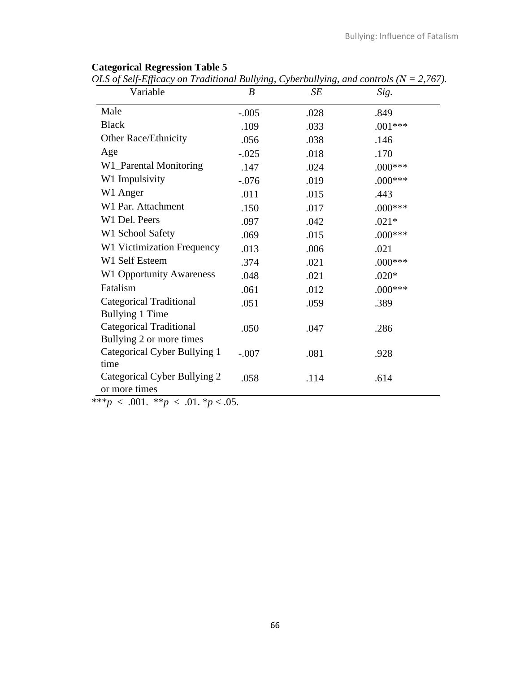| Variable                        | B       | SE   | Sig.      |  |
|---------------------------------|---------|------|-----------|--|
| Male                            | $-.005$ | .028 | .849      |  |
| <b>Black</b>                    | .109    | .033 | $.001***$ |  |
| Other Race/Ethnicity            | .056    | .038 | .146      |  |
| Age                             | $-.025$ | .018 | .170      |  |
| W1_Parental Monitoring          | .147    | .024 | $.000***$ |  |
| W1 Impulsivity                  | $-.076$ | .019 | $.000***$ |  |
| W1 Anger                        | .011    | .015 | .443      |  |
| W1 Par. Attachment              | .150    | .017 | $.000***$ |  |
| W1 Del. Peers                   | .097    | .042 | $.021*$   |  |
| W1 School Safety                | .069    | .015 | $.000***$ |  |
| W1 Victimization Frequency      | .013    | .006 | .021      |  |
| W1 Self Esteem                  | .374    | .021 | $.000***$ |  |
| <b>W1 Opportunity Awareness</b> | .048    | .021 | $.020*$   |  |
| Fatalism                        | .061    | .012 | $.000***$ |  |
| Categorical Traditional         | .051    | .059 | .389      |  |
| <b>Bullying 1 Time</b>          |         |      |           |  |
| Categorical Traditional         | .050    | .047 | .286      |  |
| Bullying 2 or more times        |         |      |           |  |
| Categorical Cyber Bullying 1    | $-.007$ | .081 | .928      |  |
| time                            |         |      |           |  |
| Categorical Cyber Bullying 2    | .058    | .114 | .614      |  |
| or more times                   |         |      |           |  |

### **Categorical Regression Table 5**

*OLS of Self-Efficacy on Traditional Bullying, Cyberbullying, and controls (N = 2,767).*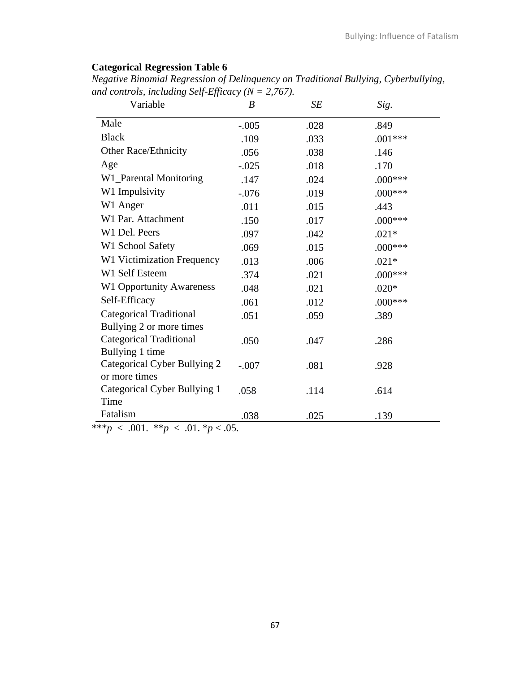# **Categorical Regression Table 6**

| Variable                                                   | B       | SE   | Sig.      |
|------------------------------------------------------------|---------|------|-----------|
| Male                                                       | $-.005$ | .028 | .849      |
| <b>Black</b>                                               | .109    | .033 | $.001***$ |
| Other Race/Ethnicity                                       | .056    | .038 | .146      |
| Age                                                        | $-.025$ | .018 | .170      |
| W1_Parental Monitoring                                     | .147    | .024 | $.000***$ |
| W1 Impulsivity                                             | $-.076$ | .019 | $.000***$ |
| W1 Anger                                                   | .011    | .015 | .443      |
| W1 Par. Attachment                                         | .150    | .017 | $.000***$ |
| W1 Del. Peers                                              | .097    | .042 | $.021*$   |
| W1 School Safety                                           | .069    | .015 | $.000***$ |
| W1 Victimization Frequency                                 | .013    | .006 | $.021*$   |
| W1 Self Esteem                                             | .374    | .021 | $.000***$ |
| <b>W1 Opportunity Awareness</b>                            | .048    | .021 | $.020*$   |
| Self-Efficacy                                              | .061    | .012 | $.000***$ |
| <b>Categorical Traditional</b><br>Bullying 2 or more times | .051    | .059 | .389      |
| <b>Categorical Traditional</b><br>Bullying 1 time          | .050    | .047 | .286      |
| Categorical Cyber Bullying 2<br>or more times              | $-.007$ | .081 | .928      |
| Categorical Cyber Bullying 1<br>Time                       | .058    | .114 | .614      |
| Fatalism                                                   | .038    | .025 | .139      |

*Negative Binomial Regression of Delinquency on Traditional Bullying, Cyberbullying,* and controls, *including* Self-Efficacy  $(N = 2.767)$ .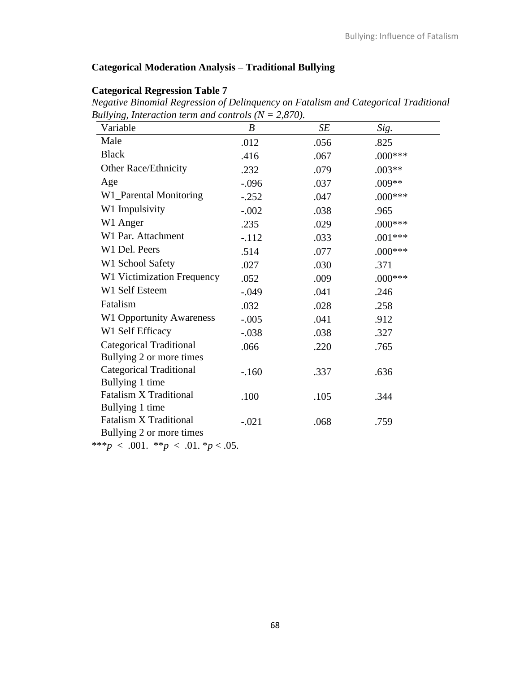# **Categorical Moderation Analysis – Traditional Bullying**

# **Categorical Regression Table 7**

*Negative Binomial Regression of Delinquency on Fatalism and Categorical Traditional Bullying, Interaction term and controls*  $(N = 2,870)$ .

| Variable                        | $\boldsymbol{B}$ | SE   | Sig.       |  |
|---------------------------------|------------------|------|------------|--|
| Male                            | .012             | .056 | .825       |  |
| <b>Black</b>                    | .416             | .067 | $.000***$  |  |
| Other Race/Ethnicity            | .232             | .079 | $.003**$   |  |
| Age                             | $-.096$          | .037 | $.009**$   |  |
| W1_Parental Monitoring          | $-.252$          | .047 | $.000$ *** |  |
| W1 Impulsivity                  | $-.002$          | .038 | .965       |  |
| W1 Anger                        | .235             | .029 | $.000***$  |  |
| W1 Par. Attachment              | $-.112$          | .033 | $.001***$  |  |
| W1 Del. Peers                   | .514             | .077 | $.000***$  |  |
| W1 School Safety                | .027             | .030 | .371       |  |
| W1 Victimization Frequency      | .052             | .009 | $.000***$  |  |
| W1 Self Esteem                  | $-.049$          | .041 | .246       |  |
| Fatalism                        | .032             | .028 | .258       |  |
| <b>W1 Opportunity Awareness</b> | $-.005$          | .041 | .912       |  |
| W1 Self Efficacy                | $-.038$          | .038 | .327       |  |
| <b>Categorical Traditional</b>  | .066             | .220 | .765       |  |
| Bullying 2 or more times        |                  |      |            |  |
| <b>Categorical Traditional</b>  | $-.160$          | .337 | .636       |  |
| Bullying 1 time                 |                  |      |            |  |
| <b>Fatalism X Traditional</b>   | .100             | .105 | .344       |  |
| Bullying 1 time                 |                  |      |            |  |
| <b>Fatalism X Traditional</b>   | $-.021$          | .068 | .759       |  |
| Bullying 2 or more times        |                  |      |            |  |